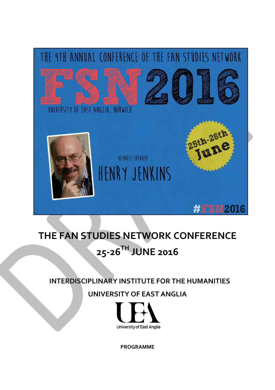

# **THE FAN STUDIES NETWORK CONFERENCE 25-26TH JUNE 2016**

## **INTERDISCIPLINARY INSTITUTE FOR THE HUMANITIES**

# **UNIVERSITY OF EAST ANGLIA**



**PROGRAMME**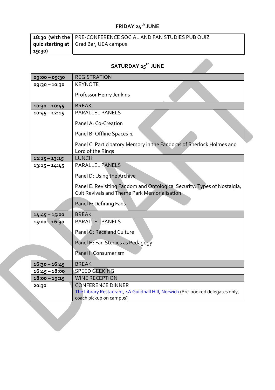# **FRIDAY 24th JUNE**

|        | 18:30 (with the   PRE-CONFERENCE SOCIAL AND FAN STUDIES PUB QUIZ |
|--------|------------------------------------------------------------------|
|        | quiz starting at   Grad Bar, UEA campus                          |
| 19:30) |                                                                  |

# **SATURDAY 25th JUNE**

| 09:00 - 09:30   | <b>REGISTRATION</b>                                                                                                             |
|-----------------|---------------------------------------------------------------------------------------------------------------------------------|
| 09:30-10:30     | <b>KEYNOTE</b>                                                                                                                  |
|                 | Professor Henry Jenkins                                                                                                         |
| $10:30 - 10:45$ | <b>BREAK</b>                                                                                                                    |
| $10:45 - 12:15$ | <b>PARALLEL PANELS</b>                                                                                                          |
|                 | Panel A: Co-Creation                                                                                                            |
|                 | Panel B: Offline Spaces 1                                                                                                       |
|                 | Panel C: Participatory Memory in the Fandoms of Sherlock Holmes and<br>Lord of the Rings                                        |
| $12:15 - 13:15$ | <b>LUNCH</b>                                                                                                                    |
| $13:15 - 14:45$ | <b>PARALLEL PANELS</b>                                                                                                          |
|                 | Panel D: Using the Archive                                                                                                      |
|                 | Panel E: Revisiting Fandom and Ontological Security: Types of Nostalgia,<br><b>Cult Revivals and Theme Park Memorialisation</b> |
|                 | Panel F: Defining Fans                                                                                                          |
| $14:45 - 15:00$ | <b>BREAK</b>                                                                                                                    |
| $15:00 - 16:30$ | <b>PARALLEL PANELS</b>                                                                                                          |
|                 | Panel G: Race and Culture                                                                                                       |
|                 | Panel H: Fan Studies as Pedagogy                                                                                                |
|                 | Panel I: Consumerism                                                                                                            |
| $16:30 - 16:45$ | <b>BREAK</b>                                                                                                                    |
| $16:45 - 18:00$ | SPEED GEEKING                                                                                                                   |
| $18:00 - 19:15$ | <b>WINE RECEPTION</b>                                                                                                           |
| 20:30           | <b>CONFERENCE DINNER</b>                                                                                                        |
|                 | The Library Restaurant, 4A Guildhall Hill, Norwich (Pre-booked delegates only,                                                  |
|                 | coach pickup on campus)                                                                                                         |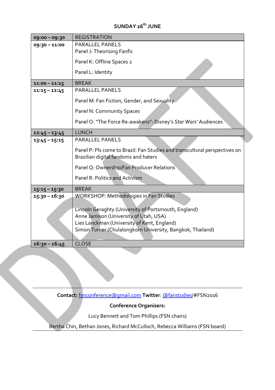### **SUNDAY 26 th JUNE**

| 09:00-09:30     | <b>REGISTRATION</b>                                                                                                                           |
|-----------------|-----------------------------------------------------------------------------------------------------------------------------------------------|
| 09:30-11:00     | <b>PARALLEL PANELS</b>                                                                                                                        |
|                 | Panel J: Theorising Fanfic                                                                                                                    |
|                 | Panel K: Offline Spaces 2                                                                                                                     |
|                 | Panel L: Identity                                                                                                                             |
| $11:00 - 11:15$ | <b>BREAK</b>                                                                                                                                  |
| $11:15 - 12:45$ | <b>PARALLEL PANELS</b>                                                                                                                        |
|                 | Panel M: Fan Fiction, Gender, and Sexuality                                                                                                   |
|                 | Panel N: Community Spaces                                                                                                                     |
|                 | Panel O: "The Force Re-awakens": Disney's Star Wars' Audiences                                                                                |
| $12:45 - 13:45$ | <b>LUNCH</b>                                                                                                                                  |
| $13:45 - 15:15$ | <b>PARALLEL PANELS</b>                                                                                                                        |
|                 | Panel P: Pls come to Brazil: Fan Studies and transcultural perspectives on<br>Brazilian digital fandoms and haters                            |
|                 | Panel Q: Ownership/Fan Producer Relations                                                                                                     |
|                 | Panel R: Politics and Activism                                                                                                                |
| $15:15 - 15:30$ | <b>BREAK</b>                                                                                                                                  |
| $15:30 - 16:30$ | <b>WORKSHOP: Methodologies in Fan Studies</b>                                                                                                 |
|                 | Lincoln Geraghty (University of Portsmouth, England)<br>Anne Jamison (University of Utah, USA)<br>Lies Lanckman (University of Kent, England) |
|                 | Simon Turner (Chulalongkorn University, Bangkok, Thailand)                                                                                    |
| $16:30 - 16:45$ | <b>CLOSE</b>                                                                                                                                  |

**Contact:** [fsnconference@gmail.com](mailto:fsnconference@gmail.com) **Twitter**[: @fanstudies/](https://twitter.com/fanstudies)#FSN2016

### **Conference Organisers:**

Lucy Bennett and Tom Phillips (FSN chairs)

Bertha Chin, Bethan Jones, Richard McCulloch, Rebecca Williams (FSN board)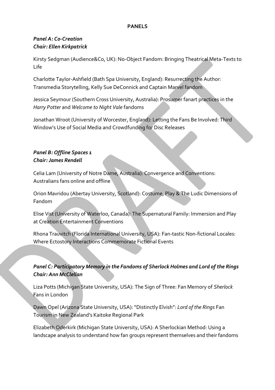### **PANELS**

### *Panel A: Co-Creation Chair: Ellen Kirkpatrick*

Kirsty Sedgman (Audience&Co, UK): No-Object Fandom: Bringing Theatrical Meta-Texts to Life

Charlotte Taylor-Ashfield (Bath Spa University, England): Resurrecting the Author: Transmedia Storytelling, Kelly Sue DeConnick and Captain Marvel fandom

Jessica Seymour (Southern Cross University, Australia): Prosumer fanart practices in the *Harry Potter* and *Welcome to Night Vale* fandoms

Jonathan Wroot (University of Worcester, England): Letting the Fans Be Involved: Third Window's Use of Social Media and Crowdfunding for Disc Releases

### *Panel B: Offline Spaces 1 Chair: James Rendell*

Celia Lam (University of Notre Dame, Australia): Convergence and Conventions: Australians fans online and offline

Orion Mavridou (Abertay University, Scotland): Costume, Play & The Ludic Dimensions of Fandom

Elise Vist (University of Waterloo, Canada): The Supernatural Family: Immersion and Play at Creation Entertainment Conventions

Rhona Trauvitch (Florida International University, USA): Fan-tastic Non-fictional Locales: Where Ectostory Interactions Commemorate Fictional Events

### *Panel C: Participatory Memory in the Fandoms of Sherlock Holmes and Lord of the Rings Chair: Ann McClellan*

Liza Potts (Michigan State University, USA): The Sign of Three: Fan Memory of *Sherlock* Fans in London

Dawn Opel (Arizona State University, USA): "Distinctly Elvish": *Lord of the Rings* Fan Tourism in New Zealand's Kaitoke Regional Park

Elizabeth Oderkirk (Michigan State University, USA): A Sherlockian Method: Using a landscape analysis to understand how fan groups represent themselves and their fandoms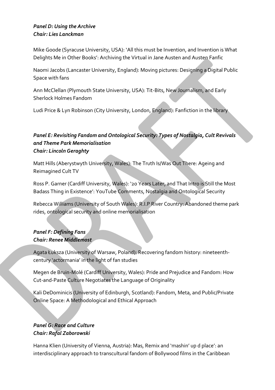### *Panel D: Using the Archive Chair: Lies Lanckman*

Mike Goode (Syracuse University, USA): 'All this must be Invention, and Invention is What Delights Me in Other Books': Archiving the Virtual in Jane Austen and Austen Fanfic

Naomi Jacobs (Lancaster University, England): Moving pictures: Designing a Digital Public Space with fans

Ann McClellan (Plymouth State University, USA): Tit-Bits, New Journalism, and Early Sherlock Holmes Fandom

Ludi Price & Lyn Robinson (City University, London, England): Fanfiction in the library

### *Panel E: Revisiting Fandom and Ontological Security: Types of Nostalgia, Cult Revivals and Theme Park Memorialisation Chair: Lincoln Geraghty*

Matt Hills (Aberystwyth University, Wales): The Truth Is/Was Out There: Ageing and Reimagined Cult TV

Ross P. Garner (Cardiff University, Wales): '20 Years Later, and That Intro is Still the Most Badass Thing in Existence': YouTube Comments, Nostalgia and Ontological Security

Rebecca Williams (University of South Wales): R.I.P River Country: Abandoned theme park rides, ontological security and online memorialisation

### *Panel F: Defining Fans Chair: Renee Middlemost*

Agata Łuksza (University of Warsaw, Poland): Recovering fandom history: nineteenthcentury 'actormania' in the light of fan studies

Megen de Bruin-Molé (Cardiff University, Wales): Pride and Prejudice and Fandom: How Cut-and-Paste Culture Negotiates the Language of Originality

Kali DeDominicis (University of Edinburgh, Scotland): Fandom, Meta, and Public/Private Online Space: A Methodological and Ethical Approach

### *Panel G: Race and Culture Chair: Rafal Zaborowski*

Hanna Klien (University of Vienna, Austria): Mas, Remix and 'mashin' up d place': an interdisciplinary approach to transcultural fandom of Bollywood films in the Caribbean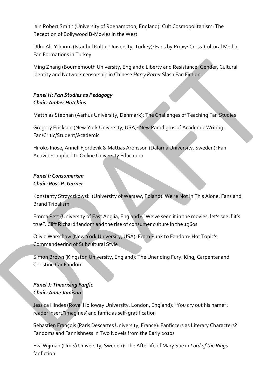Iain Robert Smith (University of Roehampton, England): Cult Cosmopolitanism: The Reception of Bollywood B-Movies in the West

Utku Ali Yıldırım (Istanbul Kultur University, Turkey): Fans by Proxy: Cross-Cultural Media Fan Formations in Turkey

Ming Zhang (Bournemouth University, England): Liberty and Resistance: Gender, Cultural identity and Network censorship in Chinese *Harry Potter* Slash Fan Fiction

### *Panel H: Fan Studies as Pedagogy Chair: Amber Hutchins*

Matthias Stephan (Aarhus University, Denmark): The Challenges of Teaching Fan Studies

Gregory Erickson (New York University, USA): New Paradigms of Academic Writing: Fan/Critic/Student/Academic

Hiroko Inose, Anneli Fjordevik & Mattias Aronsson (Dalarna University, Sweden): Fan Activities applied to Online University Education

### *Panel I: Consumerism Chair: Ross P. Garner*

Konstanty Strzyczkowski (University of Warsaw, Poland): We're Not in This Alone: Fans and Brand Tribalism

Emma Pett (University of East Anglia, England): "We've seen it in the movies, let's see if it's true": Cliff Richard fandom and the rise of consumer culture in the 1960s

Olivia Warschaw (New York University, USA): From Punk to Fandom: Hot Topic's Commandeering of Subcultural Style

Simon Brown (Kingston University, England): The Unending Fury: King, Carpenter and Christine Car Fandom

### *Panel J: Theorising Fanfic Chair: Anne Jamison*

Jessica Hindes (Royal Holloway University, London, England): "You cry out his name": reader insert/'imagines' and fanfic as self-gratification

Sébastien François (Paris Descartes University, France): Fanficcers as Literary Characters? Fandoms and Fannishness in Two Novels from the Early 2010s

Eva Wijman (Umeå University, Sweden): The Afterlife of Mary Sue in *Lord of the Rings* fanfiction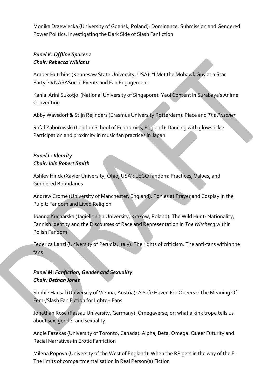Monika Drzewiecka (University of Gdańsk, Poland): Dominance, Submission and Gendered Power Politics. Investigating the Dark Side of Slash Fanfiction

### *Panel K: Offline Spaces 2 Chair: Rebecca Williams*

Amber Hutchins (Kennesaw State University, USA): "I Met the Mohawk Guy at a Star Party": #NASASocial Events and Fan Engagement

Kania Arini Sukotjo (National University of Singapore): Yaoi Content in Surabaya's Anime Convention

Abby Waysdorf & Stijn Rejinders (Erasmus University Rotterdam): Place and *The Prisoner*

Rafal Zaborowski (London School of Economics, England): Dancing with glowsticks: Participation and proximity in music fan practices in Japan

### *Panel L: Identity Chair: Iain Robert Smith*

Ashley Hinck (Xavier University, Ohio, USA): LEGO fandom: Practices, Values, and Gendered Boundaries

Andrew Crome (University of Manchester, England): Ponies at Prayer and Cosplay in the Pulpit: Fandom and Lived Religion

Joanna Kucharska (Jagiellonian University, Krakow, Poland): The Wild Hunt: Nationality, Fannish Identity and the Discourses of Race and Representation in *The Witcher 3* within Polish Fandom

Federica Lanzi (University of Perugia, Italy): The rights of criticism: The anti-fans within the fans

### *Panel M: Fanfiction, Gender and Sexuality Chair: Bethan Jones*

Sophie Hansal (University of Vienna, Austria): A Safe Haven For Queers?: The Meaning Of Fem-/Slash Fan Fiction for Lgbtq+ Fans

Jonathan Rose (Passau University, Germany): Omegaverse, or: what a kink trope tells us about sex, gender and sexuality

Angie Fazekas (University of Toronto, Canada): Alpha, Beta, Omega: Queer Futurity and Racial Narratives in Erotic Fanfiction

Milena Popova (University of the West of England): When the RP gets in the way of the F: The limits of compartmentalisation in Real Person(a) Fiction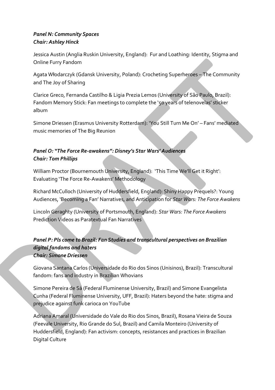### *Panel N: Community Spaces Chair: Ashley Hinck*

Jessica Austin (Anglia Ruskin University, England): Fur and Loathing: Identity, Stigma and Online Furry Fandom

Agata Włodarczyk (Gdansk University, Poland): Crocheting Superheroes – The Community and The Joy of Sharing

Clarice Greco, Fernanda Castilho & Ligia Prezia Lemos (University of São Paulo, Brazil): Fandom Memory Stick: Fan meetings to complete the '50 years of telenovelas' sticker album

Simone Driessen (Erasmus University Rotterdam): 'You Still Turn Me On' – Fans' mediated music memories of The Big Reunion

### *Panel O: "The Force Re-awakens": Disney's Star Wars' Audiences Chair: Tom Phillips*

William Proctor (Bournemouth University, England): 'This Time We'll Get it Right': Evaluating 'The Force Re-Awakens' Methodology

Richard McCulloch (University of Huddersfield, England): Shiny Happy Prequels?: Young Audiences, 'Becoming a Fan' Narratives, and Anticipation for *Star Wars: The Force Awakens*

Lincoln Geraghty (University of Portsmouth, England): *Star Wars: The Force Awakens* Prediction Videos as Paratextual Fan Narratives

*Panel P: Pls come to Brazil: Fan Studies and transcultural perspectives on Brazilian digital fandoms and haters Chair: Simone Driessen* 

Giovana Santana Carlos (Universidade do Rio dos Sinos (Unisinos), Brazil): Transcultural fandom: fans and industry in Brazilian Whovians

Simone Pereira de Sá (Federal Fluminense University, Brazil) and Simone Evangelista Cunha (Federal Fluminense University, UFF, Brazil): Haters beyond the hate: stigma and prejudice against funk carioca on YouTube

Adriana Amaral (Universidade do Vale do Rio dos Sinos, Brazil), Rosana Vieira de Souza (Feevale University, Rio Grande do Sul, Brazil) and Camila Monteiro (University of Huddersfield, England): Fan activism: concepts, resistances and practices in Brazilian Digital Culture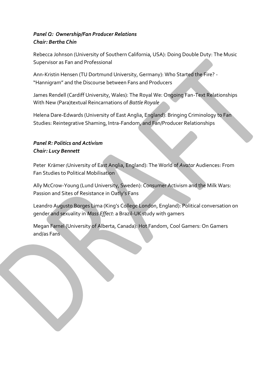### *Panel Q: Ownership/Fan Producer Relations Chair: Bertha Chin*

Rebecca Johnson (University of Southern California, USA): Doing Double Duty: The Music Supervisor as Fan and Professional

Ann-Kristin Hensen (TU Dortmund University, Germany): Who Started the Fire? - "Hannigram" and the Discourse between Fans and Producers

James Rendell (Cardiff University, Wales): The Royal We: Ongoing Fan-Text Relationships With New (Para)textual Reincarnations of *Battle Royale*

Helena Dare-Edwards (University of East Anglia, England): Bringing Criminology to Fan Studies: Reintegrative Shaming, Intra-Fandom, and Fan/Producer Relationships

### *Panel R: Politics and Activism Chair: Lucy Bennett*

Peter Krämer (University of East Anglia, England): The World of *Avatar* Audiences: From Fan Studies to Political Mobilisation

Ally McCrow-Young (Lund University, Sweden): Consumer Activism and the Milk Wars: Passion and Sites of Resistance in Oatly's Fans

Leandro Augusto Borges Lima (King's College London, England): Political conversation on gender and sexuality in *Mass Effect*: a Brazil-UK study with gamers

Megan Farnel (University of Alberta, Canada): Hot Fandom, Cool Gamers: On Gamers and/as Fans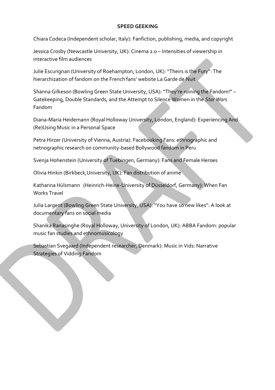#### **SPEED GEEKING**

Chiara Codeca (Independent scholar, Italy): Fanfiction, publishing, media, and copyright

Jessica Crosby (Newcastle University, UK): Cinema 2.0 – Intensities of viewership in interactive film audiences

Julie Escurignan (University of Roehampton, London, UK): "Theirs is the Fury": The hierarchization of fandom on the French fans' website La Garde de Nuit

Shanna Gilkeson (Bowling Green State University, USA): "They're ruining the Fandom!" – Gatekeeping, Double Standards, and the Attempt to Silence Women in the *Star Wars* Fandom

Diana-Maria Heidemann (Royal Holloway University, London, England): Experiencing And (Re)Using Music in a Personal Space

Petra Hirzer (University of Vienna, Austria): Facebooking Fans: ethnographic and netnographic research on community-based Bollywood fandom in Peru

Svenja Hohenstein (University of Tuebingen, Germany): Fans and Female Heroes

Olivia Hinkin (Birkbeck,University, UK): Fan distribution of anime

Katharina Hülsmann (Heinrich-Heine-University of Düsseldorf, Germany): When Fan Works Travel

Julia Largent (Bowling Green State University, USA): "You have 10 new likes": A look at documentary fans on social media

Shanika Ranasinghe (Royal Holloway, University of London, UK): ABBA Fandom: popular music fan studies and ethnomusicology

Sebastian Svegaard (Independent researcher, Denmark): Music in Vids: Narrative Strategies of Vidding Fandom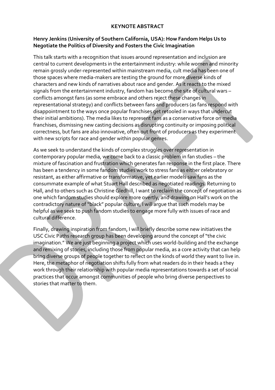### **KEYNOTE ABSTRACT**

#### **Henry Jenkins (University of Southern California, USA): How Fandom Helps Us to Negotiate the Politics of Diversity and Fosters the Civic Imagination**

This talk starts with a recognition that issues around representation and inclusion are central to current developments in the entertainment industry: while women and minority remain grossly under-represented within mainstream media, cult media has been one of those spaces where media-makers are testing the ground for more diverse kinds of characters and new kinds of narratives about race and gender. As it reacts to the mixed signals from the entertainment industry, fandom has become the site of cultural wars – conflicts amongst fans (as some embrace and others reject these changes in representational strategy) and conflicts between fans and producers (as fans respond with disappointment to the ways once popular franchises get retooled in ways that undercut their initial ambitions). The media likes to represent fans as a conservative force on media franchises, dismissing new casting decisions as disrupting continuity or imposing political correctness, but fans are also innovative, often out front of producers as they experiment with new scripts for race and gender within popular genres.

As we seek to understand the kinds of complex struggles over representation in contemporary popular media, we come back to a classic problem in fan studies – the mixture of fascination and frustration which generates fan response in the first place. There has been a tendency in some fandom studies work to stress fans as either celebratory or resistant, as either affirmative or transformative, yet earlier models saw fans as the consummate example of what Stuart Hall described as negotiated readings. Returning to Hall, and to others such as Christine Gledhill, I want to reclaim the concept of negotiation as one which fandom studies should explore more overtly, and drawing on Hall's work on the contradictory nature of "black" popular culture, I will argue that such models may be helpful as we seek to push fandom studies to engage more fully with issues of race and cultural difference.

Finally, drawing inspiration from fandom, I will briefly describe some new initiatives the USC Civic Paths research group has been developing around the concept of "the civic imagination." We are just beginning a project which uses world-building and the exchange and remixing of stories, including those from popular media, as a core activity that can help bring diverse groups of people together to reflect on the kinds of world they want to live in. Here, the metaphor of negotiation shifts fully from what readers do in their heads a they work through their relationship with popular media representations towards a set of social practices that occur amongst communities of people who bring diverse perspectives to stories that matter to them.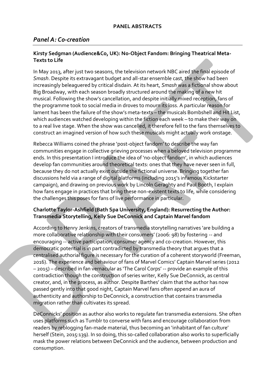### *Panel A: Co-creation*

#### **Kirsty Sedgman (Audience&Co, UK): No-Object Fandom: Bringing Theatrical Meta-Texts to Life**

In May 2013, after just two seasons, the television network NBC aired the final episode of *Smash*. Despite its extravagant budget and all-star ensemble cast, the show had been increasingly beleaguered by critical disdain. At its heart, *Smash* was a fictional show about Big Broadway, with each season broadly structured around the making of a new hit musical. Following the show's cancellation, and despite initially mixed reception, fans of the programme took to social media in droves to mourn its loss. A particular reason for lament has been the failure of the show's meta-texts – the musicals Bombshell and Hit List, which audiences watched developing within the fiction each week – to make their way on to a real live stage. When the show was cancelled, it therefore fell to the fans themselves to construct an imagined version of how such these musicals might actually work onstage.

Rebecca Williams coined the phrase 'post-object fandom' to describe the way fan communities engage in collective grieving processes when a beloved television programme ends. In this presentation I introduce the idea of 'no-object fandom', in which audiences develop fan communities around theoretical texts: ones that they have never seen in full, because they do not actually exist outside the fictional universe. Bringing together fan discussions held via a range of digital platforms (including 2015's infamous Kickstarter campaign), and drawing on previous work by Lincoln Geraghty and Paul Booth, I explain how fans engage in practices that bring these non-existent texts to life, while considering the challenges this poses for fans of live performance in particular.

#### **Charlotte Taylor-Ashfield (Bath Spa University, England): Resurrecting the Author: Transmedia Storytelling, Kelly Sue DeConnick and Captain Marvel fandom**

According to Henry Jenkins, creators of transmedia storytelling narratives 'are building a more collaborative relationship with their consumers' (2006: 98) by fostering -- and encouraging -- active participation, consumer agency and co-creation. However, this democratic potential is in part contradicted by transmedia theory that argues that a centralised authorial figure is necessary for the curation of a coherent storyworld (Freeman, 2016). The experience and behaviour of fans of Marvel Comics' Captain Marvel series (2012 – 2015) – described in fan vernacular as 'The Carol Corps' -- provide an example of this contradiction though the construction of series writer, Kelly Sue DeConnick, as central creator, and, in the process, as author. Despite Barthes' claim that the author has now passed gently into that good night, Captain Marvel fans often append an aura of authenticity and authorship to DeConnick, a construction that contains transmedia migration rather than cultivates its spread.

DeConnicks' position as author also works to regulate fan transmedia extensions. She often uses platforms such as Tumblr to converse with fans and encourage collaboration from readers by reblogging fan-made material, thus becoming an 'inhabitant of fan culture' herself (Stein, 2015:139). In so doing, this so-called collaboration also works to superficially mask the power relations between DeConnick and the audience, between production and consumption.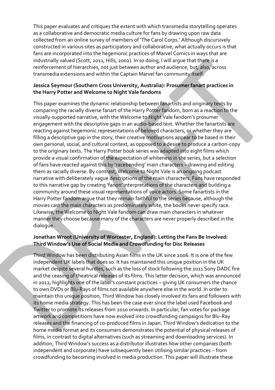This paper evaluates and critiques the extent with which transmedia storytelling operates as a collaborative and democratic media culture for fans by drawing upon raw data collected from an online survey of members of 'The Carol Corps.' Although discursively constructed in various sites as participatory and collaborative, what actually occurs is that fans are incorporated into the hegemonic practices of Marvel Comics in ways that are industrially valued (Scott, 2011, Hills, 2002). In so doing, I will argue that there is a reinforcement of hierarchies, not just between author and audience, but, also, across transmedia extensions and within the Captain Marvel fan community itself.

### **Jessica Seymour (Southern Cross University, Australia): Prosumer fanart practices in the Harry Potter and Welcome to Night Vale fandoms**

This paper examines the dynamic relationship between fanartists and originary texts by comparing the racially diverse fanart of the Harry Potter fandom, born as a reaction to the visually-supported narrative, with the Welcome to Night Vale fandom's prosumer engagement with the descriptive gaps in an audio-based text. Whether the fanartists are reacting against hegemonic representations of beloved characters, or whether they are filling a descriptive gap in the story, their creative motivations appear to be based in their own personal, social, and cultural context, as opposed to a desire to produce a carbon-copy to the originary texts. The Harry Potter book series was adapted into eight films which provide a visual confirmation of the expectation of whiteness in the series, but a selection of fans have reacted against this by 'racebending' main characters – drawing and editing them as racially diverse. By contrast, Welcome to Night Vale is an ongoing podcast narrative with deliberately vague descriptions of the main characters. Fans have responded to this narrative gap by creating 'fanon' interpretations of the characters and building a community around these visual representations of voice actors. Some fanartists in the Harry Potter fandom argue that they remain faithful to the series because, although the movies cast the main characters as predominately white, the books never specify race. Likewise, the Welcome to Night Vale fandom can draw main characters in whatever manner they choose because many of the characters are never properly described in the dialogue.

### **Jonathan Wroot (University of Worcester, England): Letting the Fans Be Involved: Third Window's Use of Social Media and Crowdfunding for Disc Releases**

Third Window has been distributing Asian films in the UK since 2006. It is one of the few independent UK labels that does so. It has maintained this unique position in the UK market despite several hurdles, such as the loss of stock following the 2011 Sony DADC fire and the ceasing of theatrical releases of its films. This latter decision, which was announced in 2012, highlights one of the label's constant practices – giving UK consumers the chance to own DVDs or Blu-Rays of films not available anywhere else in the world. In order to maintain this unique position, Third Window has closely involved its fans and followers with its home media strategy. This has been the case ever since the label used Facebook and Twitter to promote its releases from 2010 onwards. In particular, fan votes for package artwork and competitions have now evolved into crowdfunding campaigns for Blu-Ray releases and the financing of co-produced films in Japan. Third Window's dedication to the home media format and its consumers demonstrates the potential of physical releases of films, in contrast to digital alternatives (such as streaming and downloading services). In addition, Third Window's success as a distributor illustrates how other companies (both independent and corporate) have subsequently been utilising similar practices – from crowdfunding to becoming involved in media production. This paper will illustrate these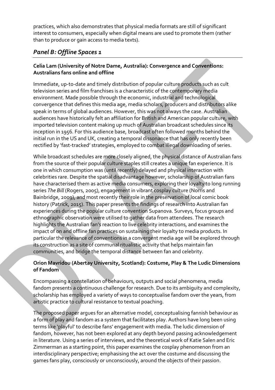practices, which also demonstrates that physical media formats are still of significant interest to consumers, especially when digital means are used to promote them (rather than to produce or gain access to media texts).

### *Panel B: Offline Spaces 1*

### **Celia Lam (University of Notre Dame, Australia): Convergence and Conventions: Australians fans online and offline**

Immediate, up-to-date and timely distribution of popular culture products such as cult television series and film franchises is a characteristic of the contemporary media environment. Made possible through the economic, industrial and technological convergence that defines this media age, media scholars, producers and distributors alike speak in terms of global audiences. However, this was not always the case. Australian audiences have historically felt an affiliation for British and American popular culture, with imported television content making up much of Australian broadcast schedules since its inception in 1956. For this audience base, broadcast often followed months behind the initial run in the US and UK, creating a temporal dissonance that has only recently been rectified by 'fast-tracked' strategies, employed to combat illegal downloading of series.

While broadcast schedules are more closely aligned, the physical distance of Australian fans from the source of their popular culture staples still creates a unique fan experience. It is one in which consumption was (until recently) delayed and physical interaction with celebrities rare. Despite the spatial disadvantage however, scholarship of Australian fans have characterised them as active media consumers, exploring their loyalty to long running series *The Bill* (Rogers, 2005), engagement in vibrant cosplay culture (Norris and Bainbridge, 2009), and most recently their role in the preservation of local comic book history (Patrick, 2015). This paper presents the findings of research into Australian fan experiences during the popular culture convention Supanova. Surveys, focus groups and ethnographic observation were utilised to gather data from attendees. The research highlights the Australian fan's reaction to live celebrity interactions, and examines the impact of on and offline fan practices on sustaining their loyalty to media products. In particular the relevance of conventions in a convergent media age will be explored through its construction as a site of communal ritualistic activity that helps maintain fan communities, and bridge the temporal distance between fan and celebrity.

### **Orion Mavridou (Abertay University, Scotland): Costume, Play & The Ludic Dimensions of Fandom**

Encompassing a constellation of behaviours, outputs and social phenomena, media fandom presents a continuous challenge for research. Due to its ambiguity and complexity, scholarship has employed a variety of ways to conceptualise fandom over the years, from artistic practice to cultural resistance to textual poaching.

The proposed paper argues for an alternative model, conceptualising fannish behaviour as a form of play and fandom as a system that facilitates play. Authors have long been using terms like 'playful' to describe fans' engagement with media. The ludic dimension of fandom, however, has not been explored at any depth beyond passing acknowledgement in literature. Using a series of interviews, and the theoretical work of Katie Salen and Eric Zimmerman as a starting point, this paper examines the cosplay phenomenon from an interdisciplinary perspective; emphasising the act over the costume and discussing the games fans play, consciously or unconsciously, around the objects of their passion.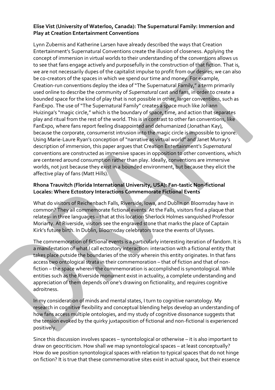#### **Elise Vist (University of Waterloo, Canada): The Supernatural Family: Immersion and Play at Creation Entertainment Conventions**

Lynn Zubernis and Katherine Larsen have already described the ways that Creation Entertainment's Supernatural Conventions create the illusion of closeness. Applying the concept of immersion in virtual worlds to their understanding of the conventions allows us to see that fans engage actively and purposefully in the construction of that fiction. That is, we are not necessarily dupes of the capitalist impulse to profit from our desires; we can also be co-creators of the spaces in which we spend our time and money. For example, Creation-run conventions deploy the idea of "The Supernatural Family," a term primarily used online to describe the community of *Supernatural* cast and fans, in order to create a bounded space for the kind of play that is not possible in other, larger conventions, such as FanExpo. The use of "The Supernatural Family" creates a space much like Johann Huizinga's "magic circle," which is the boundary of space, time, and action that separates play and ritual from the rest of the world. This is in contrast to other fan conventions, like FanExpo, where fans report feeling disappointed and dehumanized (Jonathan Kay), because the corporate, consumerist intrusion into the magic circle is impossible to ignore. Using Marie-Laure Ryan's conception of "narrative as virtual world" and Janet Murray's description of immersion, this paper argues that Creation Entertainment's *Supernatural* conventions are constructed as immersive spaces in opposition to other conventions, which are centered around consumption rather than play. Ideally, conventions are immersive worlds, not just because they exist in a bounded environment, but because they elicit the affective play of fans (Matt Hills).

### **Rhona Trauvitch (Florida International University, USA): Fan-tastic Non-fictional Locales: Where Ectostory Interactions Commemorate Fictional Events**

What do visitors of Reichenbach Falls, Riverside, Iowa, and Dublin on Bloomsday have in common? They all commemorate fictional events. At the Falls, visitors find a plaque that relates– in three languages – that at this location Sherlock Holmes vanquished Professor Moriarty. At Riverside, visitors see the engraved stone that marks the place of Captain Kirk's future birth. In Dublin, Bloomsday celebrators trace the events of Ulysses.

The commemoration of fictional events is a particularly interesting iteration of fandom. It is a manifestation of what I call ectostory interaction: interaction with a fictional entity that takes place outside the boundaries of the story wherein this entity originates. In that fans access two ontological strata in their commemoration – that of fiction and that of nonfiction – the space wherein the commemoration is accomplished is synontological. While entities such as the Riverside monument exist in actuality, a complete understanding and appreciation of them depends on one's drawing on fictionality, and requires cognitive adroitness.

In my consideration of minds and mental states, I turn to cognitive narratology. My research in cognitive flexibility and conceptual blending helps develop an understanding of how fans access multiple ontologies, and my study of cognitive dissonance suggests that the tension evoked by the quirky juxtaposition of fictional and non-fictional is experienced positively.

Since this discussion involves spaces – synontological or otherwise – it is also important to draw on geocriticism. How shall we map synontological spaces – at least conceptually? How do we position synontological spaces with relation to typical spaces that do not hinge on fiction? It is true that these commemorative sites exist in actual space, but their essence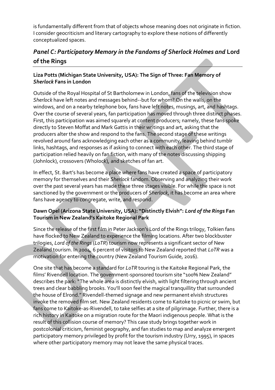is fundamentally different from that of objects whose meaning does not originate in fiction. I consider geocriticism and literary cartography to explore these notions of differently conceptualized spaces.

### *Panel C: Participatory Memory in the Fandoms of Sherlock Holmes and* **Lord of the Rings**

### **Liza Potts (Michigan State University, USA): The Sign of Three: Fan Memory of**  *Sherlock* **Fans in London**

Outside of the Royal Hospital of St Bartholomew in London, fans of the television show *Sherlock* have left notes and messages behind--but for whom? On the walls, on the windows, and on a nearby telephone box, fans have left notes, musings, art, and hashtags. Over the course of several years, fan participation has moved through three distinct phases. First, this participation was aimed squarely at content producers; namely, these fans spoke directly to Steven Moffat and Mark Gattis in their writings and art, asking that the producers alter the show and respond to the fans. The second stage of these writings revolved around fans acknowledging each other as a community, leaving behind tumblr links, hashtags, and responses as if asking to connect with each other. The third stage of participation relied heavily on fan fiction, with many of the notes discussing shipping (Johnlock), crossovers (Wholock), and sketches of fan art.

In effect, St. Bart's has become a place where fans have created a space of participatory memory for themselves and their *Sherlock* fandom. Observing and analyzing their work over the past several years has made these three stages visible. For while the space is not sanctioned by the government or the producers of *Sherlock*, it has become an area where fans have agency to congregate, write, and respond.

### **Dawn Opel (Arizona State University, USA): "Distinctly Elvish":** *Lord of the Rings* **Fan Tourism in New Zealand's Kaitoke Regional Park**

Since the release of the first film in Peter Jackson's Lord of the Rings trilogy, Tolkien fans have flocked to New Zealand to experience the filming locations. After two blockbuster trilogies, *Lord of the Rings* (*LoTR*) tourism now represents a significant sector of New Zealand tourism. In 2004, 6 percent of visitors to New Zealand reported that *LoTR* was a motivation for entering the country (New Zealand Tourism Guide, 2016).

One site that has become a standard for *LoTR* touring is the Kaitoke Regional Park, the films' Rivendell location. The government-sponsored tourism site "100% New Zealand" describes the park: "The whole area is distinctly elvish, with light filtering through ancient trees and clear babbling brooks. You'll soon feel the magical tranquillity that surrounded the house of Elrond." Rivendell-themed signage and new permanent elvish structures invoke the removed film set. New Zealand residents come to Kaitoke to picnic or swim, but fans come to Kaitoke-as-Rivendell, to take selfies at a site of pilgrimage. Further, there is a rich history in Kaitoke on a migration route for the Maori indigenous people. What is the result of this collision course of memory? This case study brings together work in postcolonial criticism, feminist geography, and fan studies to map and analyze emergent participatory memory privileged by profit for the tourism industry (Urry, 1995), in spaces where other participatory memory may not leave the same physical traces.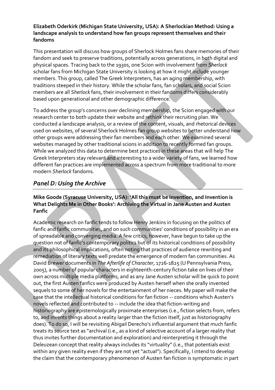#### **Elizabeth Oderkirk (Michigan State University, USA): A Sherlockian Method: Using a landscape analysis to understand how fan groups represent themselves and their fandoms**

This presentation will discuss how groups of Sherlock Holmes fans share memories of their fandom and seek to preserve traditions, potentially across generations, in both digital and physical spaces. Tracing back to the 1930s, one Scion with involvement from *Sherlock* scholar fans from Michigan State University is looking at how it might include younger members. This group, called The Greek Interpreters, has an aging membership, with traditions steeped in their history. While the scholar fans, fan scholars, and social Scion members are all *Sherlock* fans, their involvement in their fandoms differs considerably based upon generational and other demographic difference.

To address the group's concerns over declining membership, the Scion engaged with our research center to both update their website and rethink their recruiting plan. We conducted a landscape analysis, or a review of the content, visuals, and rhetorical devices used on websites, of several Sherlock Holmes fan group websites to better understand how other groups were addressing their fan members and each other. We examined several websites managed by other traditional scions in addition to recently formed fan groups. While we analyzed this data to determine best practices in these areas that will help The Greek Interpreters stay relevant and interesting to a wider variety of fans, we learned how different fan practices are implemented across a spectrum from more traditional to more modern *Sherlock* fandoms.

### *Panel D: Using the Archive*

### **Mike Goode (Syracuse University, USA): 'All this must be invention, and Invention is What Delights Me in Other Books': Archiving the Virtual in Jane Austen and Austen Fanfic**

Academic research on fanfic tends to follow Henry Jenkins in focusing on the politics of fanfic and fanfic communities, and on such communities' conditions of possibility in an era of spreadable and converging media. A few critics, however, have begun to take up the question not of fanfic's contemporary politics but of its historical conditions of possibility and its philosophical implications, often noting that practices of audience rewriting and remediation of literary texts well predate the emergence of modern fan communities. As David Brewer documents in *The Afterlife of Character*, 1726-1825 (U Pennsylvania Press, 2005), a number of popular characters in eighteenth-century fiction take on lives of their own across multiple media platforms, and as any Jane Austen scholar will be quick to point out, the first Austen fanfics were produced by Austen herself when she orally invented sequels to some of her novels for the entertainment of her nieces. My paper will make the case that the intellectual historical conditions for fan fiction -- conditions which Austen's novels reflected and contributed to -- include the idea that fiction-writing and historiography are epistemologically proximate enterprises (i.e., fiction selects from, refers to, and invents things about a reality larger than the fiction itself, just as historiography does). To do so, I will be revisiting Abigail Derecho's influential argument that much fanfic treats its source text as "archival (i.e., as a kind of selective account of a larger reality that thus invites further documentation and exploration) and reinterpreting it through the Deleuzean concept that reality always includes its "virtuality" (i.e., that potentials exist within any given reality even if they are not yet "actual"). Specifically, I intend to develop the claim that the contemporary phenomenon of Austen fan fiction is symptomatic in part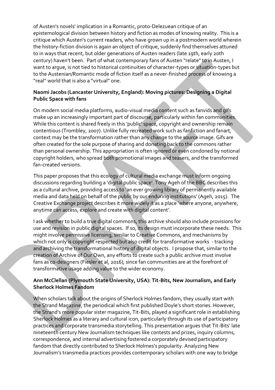of Austen's novels' implication in a Romantic, proto-Delezuean critique of an epistemological division between history and fiction as modes of knowing reality. This is a critique which Austen's current readers, who have grown up in a postmodern world wherein the history-fiction division is again an object of critique, suddenly find themselves attuned to in ways that recent, but older generations of Austen readers (late 19th, early 20th century) haven't been. Part of what contemporary fans of Austen "relate" to in Austen, I want to argue, is not tied to historical continuities of character-types or situation-types but to the Austenian/Romantic mode of fiction itself as a never-finished process of knowing a "real" world that is also a "virtual" one.

#### **Naomi Jacobs (Lancaster University, England): Moving pictures: Designing a Digital Public Space with fans**

On modern social media platforms, audio-visual media content such as fanvids and gifs make up an increasingly important part of discourse, particularly within fan communities. While this content is shared freely in this 'public' space, copyright and ownership remain contentious (Trombley, 2007). Unlike fully recreated work such as fanfiction and fanart, context may be the transformation rather than any change to the source image. Gifs are often created for the sole purpose of sharing and donating back to the commons rather than personal ownership. This appropriation is often ignored or even condoned by notional copyright holders, who spread both promotional images and teasers, and the transformed fan-created versions.

This paper proposes that this ecology of cultural media exchange must inform ongoing discussions regarding building a 'digital public space'. Tony Ageh of the BBC describes this as a cultural archive, providing access to 'an ever growing library of permanently available media and data held on behalf of the public by our enduring institutions' (Ageh, 2015). The Creative Exchange project describes it more widely it as a place 'where anyone, anywhere, anytime can access, explore and create with digital content'.

I ask whether to build a true digital commons, this archive should also include provisions for use and revision in public digital spaces. If so, its design must incorporate these needs. This might involve permissive licensing, similar to Creative Commons, and mechanisms by which not only is copyright respected but also credit for transformative works - tracking and archiving the transformational history of digital objects. I propose that, similar to the creation of Archive of Our Own, any efforts to create such a public archive must involve fans as co-designers (Fiesler et al, 2016), since fan communities are at the forefront of transformative usage adding value to the wider economy.

#### **Ann McClellan (Plymouth State University, USA): Tit-Bits, New Journalism, and Early Sherlock Holmes Fandom**

When scholars talk about the origins of Sherlock Holmes fandom, they usually start with the Strand Magazine, the periodical which first published Doyle's short stories. However, the Strand's more popular sister magazine, Tit-Bits, played a significant role in establishing Sherlock Holmes as a literary and cultural icon, particularly through its use of participatory practices and corporate transmedia storytelling. This presentation argues that Tit-Bits' late nineteenth century New Journalism techniques like contests and prizes, inquiry columns, correspondence, and internal advertising fostered a corporately devised participatory fandom that directly contributed to Sherlock Holmes's popularity. Analyzing New Journalism's transmedia practices provides contemporary scholars with one way to bridge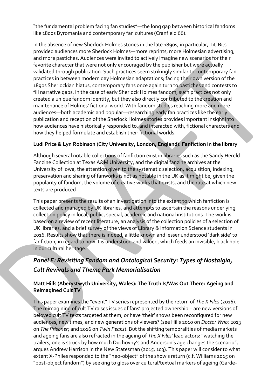"the fundamental problem facing fan studies"—the long gap between historical fandoms like 1800s Byromania and contemporary fan cultures (Cranfield 66).

In the absence of new Sherlock Holmes stories in the late 1890s, in particular, Tit-Bits provided audiences more Sherlock Holmes—more reprints, more Holmesian advertising, and more pastiches. Audiences were invited to actively imagine new scenarios for their favorite character that were not only encouraged by the publisher but were actually validated through publication. Such practices seem strikingly similar to contemporary fan practices in between modern day Holmesian adaptations; facing their own version of the 1890s Sherlockian hiatus, contemporary fans once again turn to pastiches and contests to fill narrative gaps. In the case of early Sherlock Holmes fandom, such practices not only created a unique fandom identity, but they also directly contributed to the creation and maintenance of Holmes' fictional world. With fandom studies reaching more and more audiences—both academic and popular—researching early fan practices like the early publication and reception of the Sherlock Holmes stories provides important insight into how audiences have historically responded to, and interacted with, fictional characters and how they helped formulate and establish their fictional worlds.

### **Ludi Price & Lyn Robinson (City University, London, England): Fanfiction in the library**

Although several notable collections of fanfiction exist in libraries such as the Sandy Hereld Fanzine Collection at Texas A&M University, and the digital fanzine archives at the University of Iowa, the attention given to the systematic selection, acquisition, indexing, preservation and sharing of fanworks is not as notable in the UK as it might be, given the popularity of fandom, the volume of creative works that exists, and the rate at which new texts are produced.

This paper presents the results of an investigation into the extent to which fanfiction is collected and managed by UK libraries, and attempts to ascertain the reasons underlying collection policy in local, public, special, academic and national institutions. The work is based on a review of recent literature, an analysis of the collection policies of a selection of UK libraries, and a brief survey of the views of Library & Information Science students in 2016. Results show that there is indeed, a little known and lesser understood 'dark side' to fanfiction, in regard to how it is understood and valued, which feeds an invisible, black hole in our cultural heritage.

### *Panel E: Revisiting Fandom and Ontological Security: Types of Nostalgia, Cult Revivals and Theme Park Memorialisation*

### **Matt Hills (Aberystwyth University, Wales): The Truth Is/Was Out There: Ageing and Reimagined Cult TV**

This paper examines the "event" TV series represented by the return of *The X Files* (2016). The reimagining of cult TV raises issues of fans' projected ownership – are new versions of beloved cult TV texts targeted at them, or have 'their' shows been reconfigured for new audiences, new times, and new generations of viewers? (see Hills 2010 on *Doctor Who*; 2013 on *The Prisoner*; and 2016 on *Twin Peaks*). But the shifting temporalities of media markets and ageing fans are also refracted in the ageing of *The X Files*' lead actors: "watching the trailers, one is struck by how much Duchovny's and Anderson's age changes the scenario", argues Andrew Harrison in the New Statesman (2015, 103). This paper will consider to what extent X-Philes responded to the "neo-object" of the show's return (c.f. Williams 2015 on "post-object fandom") by seeking to gloss over cultural/textual markers of ageing (Garde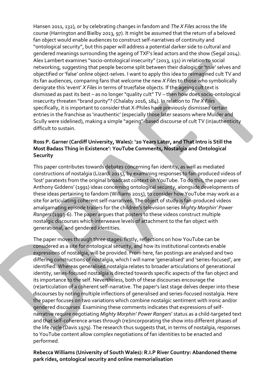Hansen 2011, 132), or by celebrating changes in fandom and *The X Files* across the life course (Harrington and Bielby 2013, 97). It might be assumed that the return of a beloved fan object would enable audiences to construct self-narratives of continuity and "ontological security", but this paper will address a potential darker side to cultural and gendered meanings surrounding the ageing of TXF's lead actors and the show (Segal 2014). Alex Lambert examines "socio-ontological insecurity" (2013, 131) in relation to social networking, suggesting that people become split between their dialogic or 'true' selves and objectified or 'false' online object-selves. I want to apply this idea to reimagined cult TV and its fan audiences, comparing fans that welcome the new *X Files* to those who symbolically denigrate this 'event' *X Files* in terms of true/false objects. If the ageing cult text is dismissed as past its best – as no longer "quality cult" TV – then how does socio-ontological insecurity threaten "brand purity"? (Chalaby 2016, 184). In relation to *The X Files*  specifically, it is important to consider that X-Philes have previously dismissed certain entries in the franchise as 'inauthentic' (especially those later seasons where Mulder and Scully were sidelined), making a simple "ageing"-based discourse of cult TV (in)authenticity difficult to sustain.

### **Ross P. Garner (Cardiff University, Wales): '20 Years Later, and That Intro is Still the Most Badass Thing in Existence': YouTube Comments, Nostalgia and Ontological Security**

This paper contributes towards debates concerning fan identity, as well as mediated constructions of nostalgia (Lizardi 2015), by examining responses to fan-produced videos of 'lost' paratexts from the original broadcast context on YouTube. To do this, the paper uses Anthony Giddens' (1991) ideas concerning ontological security, alongside developments of these ideas pertaining to fandom (Williams 2015), to consider how YouTube may work as a site for articulating coherent self-narratives. The object of study is fan-produced videos amalgamating episode trailers for the children's television series *Mighty Morphin' Power Rangers* (1993-6). The paper argues that posters to these videos construct multiple nostalgic discourses which interweave levels of attachment to the fan object with generational, and gendered identities.

The paper moves through three stages: firstly, reflections on how YouTube can be considered as a site for ontological security, and how its institutional contexts enable expressions of nostalgia, will be provided. From here, fan postings are analysed and two differing constructions of nostalgia, which I will name 'generalised' and 'series-focused', are identified. Whereas generalised nostalgia relates to broader articulations of generational identity, series-focused nostalgia is directed towards specific aspects of the fan object and its importance to the self. Nevertheless, both of these discourses encourage the (re)articulation of a coherent self-narrative. The paper's last stage delves deeper into these discourses by noting multiple inflections of generalised and series-focused nostalgia. Here the paper focuses on two variations which combine nostalgic sentiment with ironic and/or gendered discourses. Examining these comments indicates that expressions of selfnarrative require negotiating *Mighty Morphin' Power Rangers*' status as a child-targeted text and that self-coherence arises through (re)incorporating the show into different phases of the life cycle (Davis 1979). The research thus suggests that, in terms of nostalgia, responses to YouTube content allow complex negotiations of fan identities to be enacted and performed.

**Rebecca Williams (University of South Wales): R.I.P River Country: Abandoned theme park rides, ontological security and online memorialisation**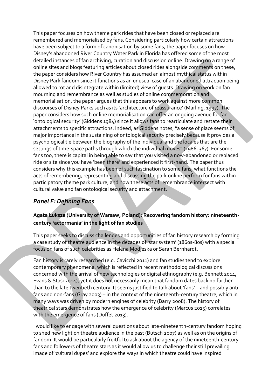This paper focuses on how theme park rides that have been closed or replaced are remembered and memorialised by fans. Considering particularly how certain attractions have been subject to a form of canonisation by some fans, the paper focuses on how Disney's abandoned River Country Water Park in Florida has offered some of the most detailed instances of fan archiving, curation and discussion online. Drawing on a range of online sites and blogs featuring articles about closed rides alongside comments on these, the paper considers how River Country has assumed an almost mythical status within Disney Park fandom since it functions as an unusual case of an abandoned attraction being allowed to rot and disintegrate within (limited) view of guests. Drawing on work on fan mourning and remembrance as well as studies of online commemoration and memorialisation, the paper argues that this appears to work against more common discourses of Disney Parks such as its 'architecture of reassurance' (Marling, 1997). The paper considers how such online memorialisation can offer an ongoing avenue for fan 'ontological security' (Giddens 1984) since it allows fans to rearticulate and restate their attachments to specific attractions. Indeed, as Giddens notes, "a sense of place seems of major importance in the sustaining of ontological security precisely because it provides a psychological tie between the biography of the individual and the locales that are the settings of time-space paths through which the individual moves" (1986, 367). For some fans too, there is capital in being able to say that you visited a now-abandoned or replaced ride or site since you have 'been there' and experienced it first-hand. The paper thus considers why this example has been of such fascination to some fans, what functions the acts of remembering, representing and discussing the park online perform for fans within participatory theme park culture, and how these acts of remembrance intersect with cultural value and fan ontological security and attachment.

### *Panel F: Defining Fans*

### **Agata Łuksza (University of Warsaw, Poland): Recovering fandom history: nineteenthcentury 'actormania' in the light of fan studies**

This paper seeks to discuss challenges and opportunities of fan history research by forming a case study of theatre audience in the decades of 'star system' (1860s-80s) with a special focus on fans of such celebrities as Helena Modjeska or Sarah Bernhardt.

Fan history is rarely researched (e.g. Cavicchi 2011) and fan studies tend to explore contemporary phenomena, which is reflected in recent methodological discussions concerned with the arrival of new technologies or digital ethnography (e.g. Bennett 2014, Evans & Stasi 2014), yet it does not necessarily mean that fandom dates back no further than to the late twentieth century. It seems justified to talk about 'fans' – and possibly antifans and non-fans (Gray 2003) – in the context of the nineteenth-century theatre, which in many ways was driven by modern engines of celebrity (Barry 2008). The history of theatrical stars demonstrates how the emergence of celebrity (Marcus 2015) correlates with the emergence of fans (Duffet 2013).

I would like to engage with several questions about late-nineteenth-century fandom hoping to shed new light on theatre audience in the past (Butsch 2007) as well as on the origins of fandom. It would be particularly fruitful to ask about the agency of the nineteenth-century fans and followers of theatre stars as it would allow us to challenge their still prevailing image of 'cultural dupes' and explore the ways in which theatre could have inspired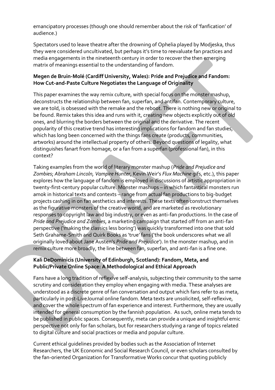emancipatory processes (though one should remember about the risk of 'fanfication' of audience.)

Spectators used to leave theatre after the drowning of Ophelia played by Modjeska, thus they were considered uncultivated, but perhaps it's time to reevaluate fan practices and media engagements in the nineteenth century in order to recover the then emerging matrix of meanings essential to the understanding of fandom.

### **Megen de Bruin-Molé (Cardiff University, Wales): Pride and Prejudice and Fandom: How Cut-and-Paste Culture Negotiates the Language of Originality**

This paper examines the way remix culture, with special focus on the monster mashup, deconstructs the relationship between fan, superfan, and antifan. Contemporary culture, we are told, is obsessed with the remake and the reboot. There is nothing new or original to be found. Remix takes this idea and runs with it, creating new objects explicitly out of old ones, and blurring the borders between the original and the derivative. The recent popularity of this creative trend has interesting implications for fandom and fan studies, which has long been concerned with the things fans create (products, communities, artworks) around the intellectual property of others. Beyond questions of legality, what distinguishes fanart from homage, or a fan from a superfan (professional fan), in this context?

Taking examples from the world of literary monster mashup (*Pride and Prejudice and Zombies*; *Abraham Lincoln, Vampire Hunter*, Kevin Weir's *Flux Machine* gifs, etc.), this paper explores how the language of fandom is employed in discussions of artistic appropriation in twenty-first-century popular culture. Monster mashups – in which fantastical monsters run amok in historical texts and contexts – range from actual fan productions to big-budget projects cashing in on fan aesthetics and interests. These texts often construct themselves as the figurative monsters of the creative world, and are marketed as revolutionary responses to copyright law and big industry, or even as anti-fan productions. In the case of *Pride and Prejudice and Zombies*, a marketing campaign that started off from an anti-fan perspective ('making the classics less boring') was quickly transformed into one that sold Seth Grahame-Smith and Quirk Books as 'true' fans ('the book underscores what we all originally loved about Jane Austen's *Pride and Prejudice*'). In the monster mashup, and in remix culture more broadly, the line between fan, superfan, and anti-fan is a fine one.

### **Kali DeDominicis (University of Edinburgh, Scotland): Fandom, Meta, and Public/Private Online Space: A Methodological and Ethical Approach**

Fans have a long tradition of reflexive self-analysis, subjecting their community to the same scrutiny and consideration they employ when engaging with media. These analyses are understood as a discrete genre of fan conversation and output which fans refer to as meta, particularly in post-LiveJournal online fandom. Meta texts are unsolicited, self-reflexive, and cover the whole spectrum of fan experience and interest. Furthermore, they are usually intended for general consumption by the fannish population. As such, online meta tends to be published in public spaces. Consequently, meta can provide a unique and insightful emic perspective not only for fan scholars, but for researchers studying a range of topics related to digital culture and social practices or media and popular culture.

Current ethical guidelines provided by bodies such as the Association of Internet Researchers, the UK Economic and Social Research Council, or even scholars consulted by the fan-oriented Organization for Transformative Works concur that quoting publicly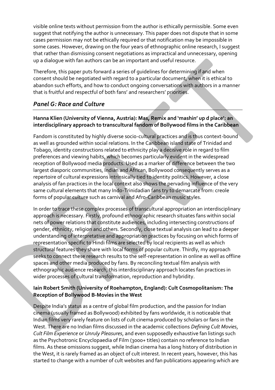visible online texts without permission from the author is ethically permissible. Some even suggest that notifying the author is unnecessary. This paper does not dispute that in some cases permission may not be ethically required or that notification may be impossible in some cases. However, drawing on the four years of ethnographic online research, I suggest that rather than dismissing consent negotiations as impractical and unnecessary, opening up a dialogue with fan authors can be an important and useful resource.

Therefore, this paper puts forward a series of guidelines for determining if and when consent should be negotiated with regard to a particular document, when it is ethical to abandon such efforts, and how to conduct ongoing conversations with authors in a manner that is fruitful and respectful of both fans' and researchers' priorities.

### *Panel G: Race and Culture*

### **Hanna Klien (University of Vienna, Austria): Mas, Remix and 'mashin' up d place': an interdisciplinary approach to transcultural fandom of Bollywood films in the Caribbean**

Fandom is constituted by highly diverse socio-cultural practices and is thus context-bound as well as grounded within social relations. In the Caribbean island state of Trinidad and Tobago, identity constructions related to ethnicity play a decisive role in regard to film preferences and viewing habits, which becomes particularly evident in the widespread reception of Bollywood media products. Used as a marker of difference between the two largest diasporic communities, Indian and African, Bollywood consequently serves as a repertoire of cultural expressions intrinsically tied to identity politics. However, a close analysis of fan practices in the local context also shows the pervading influence of the very same cultural elements that many Indo-Trinidadian fans try to demarcate from: creole forms of popular culture such as carnival and Afro-Caribbean music styles.

In order to trace these complex processes of transcultural appropriation an interdisciplinary approach is necessary. Firstly, profound ethnographic research situates fans within social nets of power relations that constitute audiences, including intersecting constructions of gender, ethnicity, religion and others. Secondly, close textual analysis can lead to a deeper understanding of interpretative and appropriation practices by focusing on which forms of representation specific to Hindi films are selected by local recipients as well as which structural features they share with local forms of popular culture. Thirdly, my approach seeks to connect these research results to the self-representation in online as well as offline spaces and other media produced by fans. By reconciling textual film analysis with ethnographic audience research, this interdisciplinary approach locates fan practices in wider processes of cultural transformation, reproduction and hybridity.

#### **Iain Robert Smith (University of Roehampton, England): Cult Cosmopolitanism: The Reception of Bollywood B-Movies in the West**

Despite India's status as a centre of global film production, and the passion for Indian cinema (usually framed as Bollywood) exhibited by fans worldwide, it is noticeable that Indian films very rarely feature on lists of cult cinema produced by scholars or fans in the West. There are no Indian films discussed in the academic collections *Defining Cult Movies*, *Cult Film Experience* or *Unruly Pleasures*, and even supposedly exhaustive fan listings such as the Psychotronic Encyclopaedia of Film (3000+ titles) contain no reference to Indian films. As these omissions suggest, while Indian cinema has a long history of distribution in the West, it is rarely framed as an object of cult interest. In recent years, however, this has started to change with a number of cult websites and fan publications appearing which are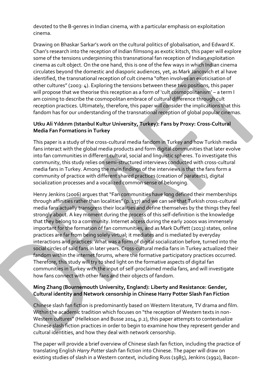devoted to the B-genres in Indian cinema, with a particular emphasis on exploitation cinema.

Drawing on Bhaskar Sarkar's work on the cultural politics of globalisation, and Edward K. Chan's research into the reception of Indian filmsong as exotic kitsch, this paper will explore some of the tensions underpinning this transnational fan reception of Indian exploitation cinema as cult object. On the one hand, this is one of the few ways in which Indian cinema circulates beyond the domestic and diasporic audiences, yet, as Mark Jancovich et al have identified, the transnational reception of cult cinema "often involves an exoticisation of other cultures" (2003: 4). Exploring the tensions between these two positions, this paper will propose that we theorise this reception as a form of 'cult cosmopolitanism' – a term I am coining to describe the cosmopolitan embrace of cultural difference through cult reception practices. Ultimately, therefore, this paper will consider the implications that this fandom has for our understanding of the transnational reception of global popular cinemas.

### **Utku Ali Yıldırım (Istanbul Kultur University, Turkey): Fans by Proxy: Cross-Cultural Media Fan Formations in Turkey**

This paper is a study of the cross-cultural media fandom in Turkey and how Turkish media fans interact with the global media products and form digital communities that later evolve into fan communities in different cultural, social and linguistic spheres. To investigate this community, this study relies on semi-structured interviews conducted with cross-cultural media fans in Turkey. Among the main findings of the interviews is that the fans form a community of practice with different shared practices (creation of paratexts), digital socialization processes and a vocalized common sense of belonging.

Henry Jenkins (2006) argues that "Fan communities have long defined their memberships through affinities rather than localities" (p. 137) and we can see that Turkish cross-cultural media fans actually transgress their localities and define themselves by the things they feel strongly about. A key moment during the process of this self-definition is the knowledge that they belong to a community. Internet access during the early 2000s was immensely important for the formation of fan communities, and as Mark Duffett (2013) states, online practices are far from being solely virtual; it mediates and is mediated by everyday interactions and practices. What was a form of digital socialization before, turned into the social circles of said fans in later years. Cross-cultural media fans in Turkey actualized their fandom within the internet forums, where the formative participatory practices occurred. Therefore, this study will try to shed light on the formative aspects of digital fan communities in Turkey with the input of self-proclaimed media fans, and will investigate how fans connect with other fans and their objects of fandom.

#### **Ming Zhang (Bournemouth University, England): Liberty and Resistance: Gender, Cultural identity and Network censorship in Chinese Harry Potter Slash Fan Fiction**

Chinese slash fan fiction is predominantly based on Western literature, TV drama and film. Within the academic tradition which focuses on "the reception of Western texts in non-Western cultures" (Hellekson and Busse 2014, p.2), this paper attempts to contextualize Chinese slash fiction practices in order to begin to examine how they represent gender and cultural identities, and how they deal with network censorship.

The paper will provide a brief overview of Chinese slash fan fiction, including the practice of translating English *Harry Potter* slash fan fiction into Chinese. The paper will draw on existing studies of slash in a Western context, including Russ (1985), Jenkins (1992), Bacon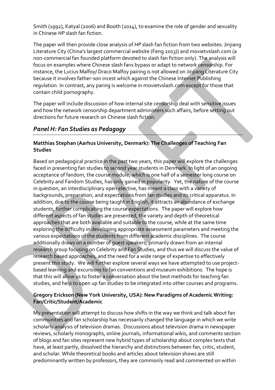Smith (1992), Katyal (2006) and Booth (2014), to examine the role of gender and sexuality in Chinese *HP* slash fan fiction.

The paper will then provide close analysis of *HP* slash fan fiction from two websites: Jinjiang Literature City (China's largest commercial website (Feng 2013)) and movietvslash.com (a non-commercial fan founded platform devoted to slash fan fiction only). The analysis will focus on examples where Chinese slash fans bypass or adapt to network censorship. For instance, the Lucius Malfoy/ Draco Malfoy pairing is not allowed on Jinjiang Literature City because it involves father-son incest which against the Chinese Internet Publishing regulation. In contrast, any paring is welcome in movietvslash.com except for those that contain child pornography.

The paper will include discussion of how internal site censorship deal with sensitive issues and how the network censorship department administers such affairs, before setting out directions for future research on Chinese slash fiction.

### *Panel H: Fan Studies as Pedagogy*

### **Matthias Stephan (Aarhus University, Denmark): The Challenges of Teaching Fan Studies**

Based on pedagogical practice in the past two years, this paper will explore the challenges faced in presenting fan studies to second year students in Denmark. In light of an ongoing acceptance of fandom, the course module, which is one half of a semester long course on Celebrity and Fandom Studies, has only gained in popularity. Yet, the nature of the course in question, an interdisciplinary open elective, has meant a class with a variety of backgrounds, preparation, and expectations from fan studies and its critical apparatus. In addition, due to the course being taught in English, it attracts an abundance of exchange students, further complicating the course expectations. The paper will explore how different aspects of fan studies are presented, the variety and depth of theoretical approaches that are both available and suitable to the course, while at the same time exploring the difficulty in developing appropriate assessment parameters and meeting the various expectations of the students from different academic disciplines. The course additionally draws on a number of guest speakers, primarily drawn from an internal research group focusing on Celebrity and Fan Studies, and thus we will discuss the value of research based approaches, and the need for a wide range of expertise to effectively present this study. We will further explore several ways we have attempted to use projectbased learning and excursions to fan conventions and museum exhibitions. The hope is that this will allow us to foster a conversation about the best methods for teaching fan studies, and help to open up fan studies to be integrated into other courses and programs.

### **Gregory Erickson (New York University, USA): New Paradigms of Academic Writing: Fan/Critic/Student/Academic**

My presentation will attempt to discuss how shifts in the way we think and talk about fan communities and fan scholarship has necessarily changed the language in which we write scholarly analysis of television dramas. Discussions about television drama in newspaper reviews, scholarly monographs, online journals, informational wikis, and comments section of blogs and fan sites represent new hybrid types of scholarship about complex texts that have, at least partly, dissolved the hierarchy and distinctions between fan, critic, student, and scholar. While theoretical books and articles about television shows are still predominantly written by professors, they are commonly read and commented on within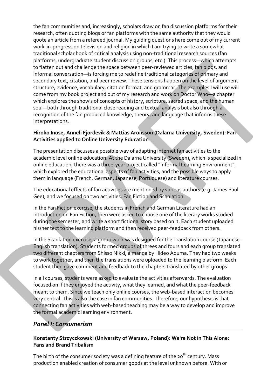the fan communities and, increasingly, scholars draw on fan discussion platforms for their research, often quoting blogs or fan platforms with the same authority that they would quote an article from a refereed journal. My guiding questions here come out of my current work-in-progress on television and religion in which I am trying to write a somewhat traditional scholar book of critical analysis using non-traditional research sources (fan platforms, undergraduate student discussion groups, etc.). This process—which attempts to flatten out and challenge the space between peer-reviewed articles, fan blogs, and informal conversation—is forcing me to redefine traditional categories of primary and secondary text, citation, and peer review. These tensions happen on the level of argument structure, evidence, vocabulary, citation format, and grammar. The examples I will use will come from my book project and out of my research and work on Doctor Who—a chapter which explores the show's of concepts of history, scripture, sacred space, and the human soul—both through traditional close reading and textual analysis but also through a recognition of the fan produced knowledge, theory, and language that informs these interpretations.

#### **Hiroko Inose, Anneli Fjordevik & Mattias Aronsson (Dalarna University, Sweden): Fan Activities applied to Online University Education**

The presentation discusses a possible way of adapting internet fan activities to the academic level online education. At the Dalarna University (Sweden), which is specialized in online education, there was a three-year project called "Informal Learning Environment", which explored the educational aspects of fan activities, and the possible ways to apply them in language (French, German, Japanese, Portuguese) and literature courses.

The educational effects of fan activities are mentioned by various authors (e.g. James Paul Gee), and we focused on two activities, Fan Fiction and Scanlation.

In the Fan Fiction exercise, the students in French and German Literature had an introduction on Fan Fiction, then were asked to choose one of the literary works studied during the semester, and write a short fictional story based on it. Each student uploaded his/her text to the learning platform and then received peer-feedback from others.

In the Scanlation exercise, a group work was designed for the Translation course (Japanese-English translation). Students formed groups of threes and fours and each group translated two different chapters from Shisso Nikki, a manga by Hideo Aduma. They had two weeks to work together, and then the translations were uploaded to the learning platform. Each student then gave comment and feedback to the chapters translated by other groups.

In all courses, students were asked to evaluate the activities afterwards. The evaluation focused on if they enjoyed the activity, what they learned, and what the peer-feedback meant to them. Since we teach only online courses, the web-based interaction becomes very central. This is also the case in fan communities. Therefore, our hypothesis is that connecting fan activities with web-based teaching may be a way to develop and improve the formal academic learning environment.

### *Panel I: Consumerism*

#### **Konstanty Strzyczkowski (University of Warsaw, Poland): We're Not in This Alone: Fans and Brand Tribalism**

The birth of the consumer society was a defining feature of the 20<sup>th</sup> century. Mass production enabled creation of consumer goods at the level unknown before. With or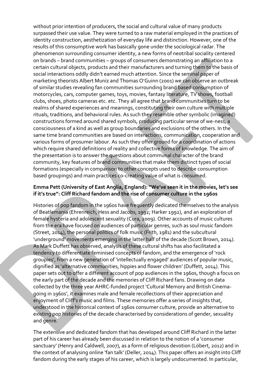without prior intention of producers, the social and cultural value of many products surpassed their use value. They were turned to a raw material employed in the practices of identity construction, aesthetization of everyday life and distinction. However, one of the results of this consumptive work has basically gone under the sociological radar. The phenomenon surrounding consumer identity, a new forms of neotribal sociality centered on brands – brand communities – groups of consumers demonstrating an affiliation to a certain cultural objects, products and their manufacturers and turning them to the basis of social interactions oddly didn't earned much attention. Since the seminal paper of marketing theorists Albert Muniz and Thomas O'Guinn (2001) we can observe an outbreak of similar studies revealing fan communities surrounding brand based consumption of motorcycles, cars, computer games, toys, movies, fantasy literature, TV shows, football clubs, shoes, photo cameras etc. etc. They all agree that brand communities turn to be realms of shared experiences and meanings, constituting their own culture with multiple rituals, traditions, and behavioral rules. As such they resemble other symbolic (imagined) constructions formed around shared symbols, producing particular sense of we-ness, a consciousness of a kind as well as group boundaries and exclusions of the others. In the same time brand communities are based on interactions, communication, cooperation and various forms of prosumer labour. As such they offer ground for a coordination of actions which require shared definitions of reality and collective forms of knowledge. The aim of the presentation is to answer the questions about communal character of the brand community, key features of brand communities that make them distinct types of social formations (especially in comparison to other concepts used to describe consumption based groupings) and main practices co-creating value of what is consumed.

#### **Emma Pett (University of East Anglia, England): "We've seen it in the movies, let's see if it's true": Cliff Richard fandom and the rise of consumer culture in the 1960s**

Histories of pop fandom in the 1960s have frequently dedicated themselves to the analysis of Beatlemania (Ehrenreich, Hess and Jacobs, 1992; Harker 1992), and an exploration of female hysteria and adolescent sexuality (Cura, 2009). Other accounts of music cultures from the era have focused on audiences of particular genres, such as soul music fandom (Street, 2014), the personal politics of folk music (Frith, 1981) and the subcultural 'underground' movements emerging in the latter half of the decade (Scott Brown, 2014). As Mark Duffett has observed, analysis of these cultural shifts has also facilitated a tendency to differentiate feminised concepts of fandom, and the emergence of 'rock groupies', from a new generation of 'intellectually engaged' audiences of popular music, dignified as 'alternative communities, hippies and flower children' (Duffett, 2014). This paper sets out to offer a different account of pop audiences in the 1960s, though a focus on the early part of the decade and the memories of Cliff Richard fans. Drawing on data collected by the three year AHRC-funded project 'Cultural Memory and British Cinemagoing in 1960s', it examines male and female recollections of their appreciation and enjoyment of Cliff's music and films. These memories offer a series of insights that, understood in the historical context of 1960s consumer culture, provide an alternative to existing pop histories of the decade characterised by considerations of gender, sexuality and genre.

The extensive and dedicated fandom that has developed around Cliff Richard in the latter part of his career has already been discussed in relation to the notion of a 'consumer sanctuary' (Henry and Caldwell, 2007), as a form of religious devotion (Löbert, 2012) and in the context of analysing online 'fan talk' (Deller, 2014). This paper offers an insight into Cliff fandom during the early stages of his career, which is largely undocumented. In particular,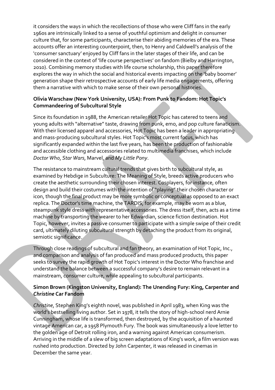it considers the ways in which the recollections of those who were Cliff fans in the early 1960s are intrinsically linked to a sense of youthful optimism and delight in consumer culture that, for some participants, characterise their abiding memories of the era. These accounts offer an interesting counterpoint, then, to Henry and Caldwell's analysis of the 'consumer sanctuary' enjoyed by Cliff fans in the later stages of their life, and can be considered in the context of 'life course perspectives' on fandom (Bielby and Harrington, 2010). Combining memory studies with life course scholarship, this paper therefore explores the way in which the social and historical events impacting on the 'baby boomer' generation shape their retrospective accounts of early life media engagements, offering them a narrative with which to make sense of their own personal histories.

### **Olivia Warschaw (New York University, USA): From Punk to Fandom: Hot Topic's Commandeering of Subcultural Style**

Since its foundation in 1988, the American retailer Hot Topic has catered to teens and young adults with "alternative" taste, drawing from punk, emo, and pop culture fanaticism. With their licensed apparel and accessories, Hot Topic has been a leader in appropriating and mass-producing subcultural styles. Hot Topic's most current focus, which has significantly expanded within the last five years, has been the production of fashionable and accessible clothing and accessories related to multimedia franchises, which include *Doctor Who*, *Star Wars*, Marvel, and *My Little Pony*.

The resistance to mainstream cultural trends that gives birth to subcultural style, as examined by Hebdige in Subculture: The Meaning of Style, breeds active producers who create the aesthetic surrounding their chosen interest. Cosplayers, for instance, often design and build their costumes with the intention of "playing" their chosen character or icon, though the final product may be more symbolic or conceptual as opposed to an exact replica. The Doctor's time machine, the TARDIS, for example, may be worn as a blue, steampunk style dress with representative accessories. The dress itself, then, acts as a time machine by transporting the wearer to her Edwardian, science fiction destination. Hot Topic, however, invites a passive consumer to participate with a simple swipe of their credit card, ultimately diluting subcultural strength by detaching the product from its original, semiotic significance.

Through close readings of subcultural and fan theory, an examination of Hot Topic, Inc., and comparison and analysis of fan produced and mass produced products, this paper seeks to survey the rapid growth of Hot Topic's interest in the Doctor Who franchise and understand the balance between a successful company's desire to remain relevant in a mainstream, consumer culture, while appealing to subcultural participants.

#### **Simon Brown (Kingston University, England): The Unending Fury: King, Carpenter and**  *Christine* **Car Fandom**

*Christine*, Stephen King's eighth novel, was published in April 1983, when King was the world's bestselling living author. Set in 1978, it tells the story of high-school nerd Arnie Cunningham, whose life is transformed, then destroyed, by the acquisition of a haunted vintage American car, a 1958 Plymouth Fury. The book was simultaneously a love letter to the golden age of Detroit rolling iron, and a warning against American consumerism. Arriving in the middle of a slew of big screen adaptations of King's work, a film version was rushed into production. Directed by John Carpenter, it was released in cinemas in December the same year.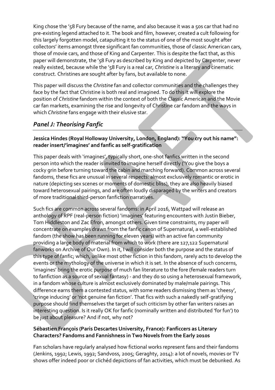King chose the '58 Fury because of the name, and also because it was a 50s car that had no pre-existing legend attached to it. The book and film, however, created a cult following for this largely forgotten model, catapulting it to the status of one of the most sought after collectors' items amongst three significant fan communities, those of classic American cars, those of movie cars, and those of King and Carpenter. This is despite the fact that, as this paper will demonstrate, the '58 Fury as described by King and depicted by Carpenter, never really existed, because while the '58 Fury is a real car, *Christine* is a literary and cinematic construct. Christines are sought after by fans, but available to none.

This paper will discuss the *Christine* fan and collector communities and the challenges they face by the fact that Christine is both real and imagined. To do this it will explore the position of *Christine* fandom within the context of both the Classic American and the Movie car fan markets, examining the rise and longevity of Christine car fandom and the ways in which *Christine* fans engage with their elusive star.

### *Panel J: Theorising Fanfic*

**Jessica Hindes (Royal Holloway University, London, England): "You cry out his name": reader insert/'imagines' and fanfic as self-gratification**

This paper deals with 'imagines', typically short, one-shot fanfics written in the second person into which the reader is invited to imagine herself directly ('You give the boys a cocky grin before turning toward the cabin and marching forward). Common across several fandoms, these fics are unusual in several respects: almost exclusively romantic or erotic in nature (depicting sex scenes or moments of domestic bliss), they are also heavily biased toward heterosexual pairings, and are often loudly disparaged by the writers and creators of more traditional third-person fanfiction narratives.

Such fics are common across several fandoms: in April 2016, Wattpad will release an anthology of RPF (real-person fiction) 'imagines' featuring encounters with Justin Bieber, Tom Hiddleston and Zac Efron, amongst others. Given time constraints, my paper will concentrate on examples drawn from the fanfic canon of Supernatural, a well-established fandom (the show has been running for eleven years) with an active fan community providing a large body of material from which to work (there are 127,122 Supernatural fanworks on Archive of Our Own). In it, I will consider both the purpose and the status of this type of fanfic; which, unlike most other fiction in this fandom, rarely acts to develop the events or the mythology of the universe in which it is set. In the absence of such concerns, 'imagines' bring the erotic purpose of much fan literature to the fore (female readers turn to fanfiction as a source of sexual fantasy) - and they do so using a heterosexual framework, in a fandom whose culture is almost exclusively dominated by male/male pairings. This difference earns them a contested status, with some readers dismissing them as 'cheesy', 'cringe inducing' or 'not genuine fan fiction'. That fics with such a nakedly self-gratifying purpose should find themselves the target of such criticism by other fan writers raises an interesting question. Is it really OK for fanfic (nominally written and distributed 'for fun') to be just about pleasure? And if not, why not?

#### **Sébastien François (Paris Descartes University, France): Fanficcers as Literary Characters? Fandoms and Fannishness in Two Novels from the Early 2010s**

Fan scholars have regularly analysed how fictional works represent fans and their fandoms (Jenkins, 1992; Lewis, 1992; Sandvoss, 2005; Geraghty, 2014): a lot of novels, movies or TV shows offer indeed poor or clichéd depictions of fan activities, which must be debunked. As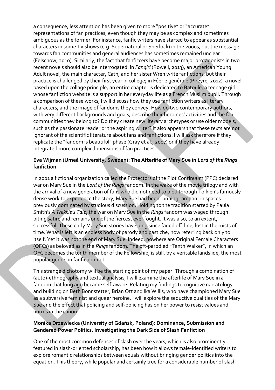a consequence, less attention has been given to more "positive" or "accurate" representations of fan practices, even though they may be as complex and sometimes ambiguous as the former. For instance, fanfic writers have started to appear as substantial characters in some TV shows (e.g. Supernatural or Sherlock) in the 2000s, but the message towards fan communities and general audiences has sometimes remained unclear (Felschow, 2010). Similarly, the fact that fanficcers have become major protagonists in two recent novels should also be interrogated: in *Fangirl* (Rowell, 2013), an American Young Adult novel, the main character, Cath, and her sister Wren write fanfictions, but their practice is challenged by their first year in college; in Féerie générale (Pireyre, 2012), a novel based upon the collage principle, an entire chapter is dedicated to Batoule, a teenage girl whose fanfiction website is a support in her everyday life as a French Muslim pupil. Through a comparison of these works, I will discuss how they use fanfiction writers as literary characters, and the image of fandoms they convey. How do two contemporary authors, with very different backgrounds and goals, describe their heroines' activities and the fan communities they belong to? Do they create new literary archetypes or use older models, such as the passionate reader or the aspiring writer? It also appears that these texts are not ignorant of the scientific literature about fans and fanfictions: I will ask therefore if they replicate the "fandom is beautiful" phase (Gray et al., 2007) or if they have already integrated more complex dimensions of fan practices.

### **Eva Wijman (Umeå University, Sweden): The Afterlife of Mary Sue in** *Lord of the Rings* **fanfiction**

In 2001 a fictional organization called the Protectors of the Plot Continuum (PPC) declared war on Mary Sue in the *Lord of the Rings* fandom. In the wake of the movie trilogy and with the arrival of a new generation of fans who did not need to plod through Tolkien's famously dense work to experience the story, Mary Sue had been running rampant in spaces previously dominated by studious discussion. Holding to the tradition started by Paula Smith's *A Trekkie's Tale*, the war on Mary Sue in the *Rings* fandom was waged through biting satire and remains one of the fiercest ever fought. It was also, to an extent, successful. These early Mary Sue stories have long since faded off-line, lost in the mists of time. What is left is an endless body of parody and pastiche, now referring back only to itself. Yet it was not the end of Mary Sue. Indeed, nowhere are Original Female Characters (OFCs) as beloved as in the *Rings* fandom. The oft-parodied "Tenth Walker", in which an OFC becomes the tenth member of the Fellowship, is still, by a veritable landslide, the most popular genre on fanfiction.net.

This strange dichotomy will be the starting point of my paper. Through a combination of (auto)-ethnography and textual analysis, I will examine the afterlife of Mary Sue in a fandom that long ago became self-aware. Relating my findings to cognitive narratology and building on Beth Bonnstetter, Brian Ott and Ika Willis, who have championed Mary Sue as a subversive feminist and queer heroine, I will explore the seductive qualities of the Mary Sue and the effect that policing and self-policing has on her power to resist values and norms in the canon.

#### **Monika Drzewiecka (University of Gdańsk, Poland): Dominance, Submission and Gendered Power Politics. Investigating the Dark Side of Slash Fanfiction**

One of the most common defenses of slash over the years, which is also prominently featured in slash-oriented scholarship, has been how it allows female-identified writers to explore romantic relationships between equals without bringing gender politics into the equation. This theory, while popular and certainly true for a considerable number of slash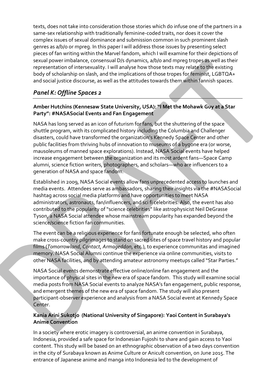texts, does not take into consideration those stories which do infuse one of the partners in a same-sex relationship with traditionally feminine-coded traits, nor does it cover the complex issues of sexual dominance and submission common in such prominent slash genres as a/b/o or mpreg. In this paper I will address those issues by presenting select pieces of fan writing within the Marvel fandom, which I will examine for their depictions of sexual power imbalance, consensual D/s dynamics, a/b/o and mpreg tropes as well as their representation of intersexuality. I will analyse how those texts may relate to the existing body of scholarship on slash, and the implications of those tropes for feminist, LGBTQA+ and social justice discourse, as well as the attitudes towards them within fannish spaces.

### *Panel K: Offline Spaces 2*

### **Amber Hutchins (Kennesaw State University, USA): "I Met the Mohawk Guy at a Star Party": #NASASocial Events and Fan Engagement**

NASA has long served as an icon of futurism for fans, but the shuttering of the space shuttle program, with its complicated history including the Columbia and Challenger disasters, could have transformed the organization's Kennedy Space Center and other public facilities from thriving hubs of innovation to museums of a bygone era (or worse, mausoleums of manned space explorations). Instead, NASA Social events have helped increase engagement between the organization and its most ardent fans—Space Camp alumni, science fiction writers, photographers, and scholars—who are influencers to a generation of NASA and space fandom.

Established in 2009, NASA Social events allow fans unprecedented access to launches and media events. Attendees serve as ambassadors, sharing their insights via the #NASASocial hashtag across social media platforms and have opportunities to meet NASA administrators, astronauts, fan/influencers, and sci fi celebrities. Also, the event has also contributed to the popularity of "science celebrities" like astrophysicist Neil DeGrasse Tyson, a NASA Social attendee whose mainstream popularity has expanded beyond the science/science fiction fan communities.

The event can be a religious experience for fans fortunate enough be selected, who often make cross-country pilgrimages to stand on sacred sites of space travel history and popular films (*Tomorrowland*, *Contact*, *Armageddon*, etc.), to experience communitas and imagined memory. NASA Social Alumni continue the experience via online communities, visits to other NASA facilities, and by attending amateur astronomy meetups called "Star Parties."

NASA Social events demonstrate effective online/online fan engagement and the importance of physical sites in the new era of space fandom. This study will examine social media posts from NASA Social events to analyze NASA's fan engagement, public response, and emergent themes of the new era of space fandom. The study will also present participant-observer experience and analysis from a NASA Social event at Kennedy Space Center.

### **Kania Arini Sukotjo (National University of Singapore): Yaoi Content in Surabaya's Anime Convention**

In a society where erotic imagery is controversial, an anime convention in Surabaya, Indonesia, provided a safe space for Indonesian Fujoshi to share and gain access to Yaoi content. This study will be based on an ethnographic observation of a two days convention in the city of Surabaya known as Anime Culture or Anicult convention, on June 2015. The entrance of Japanese anime and manga into Indonesia led to the development of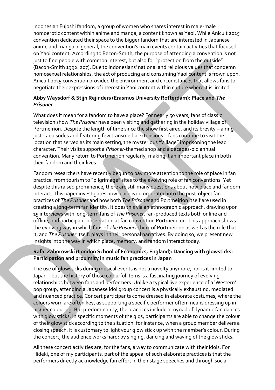Indonesian Fujoshi fandom, a group of women who shares interest in male-male homoerotic content within anime and manga, a content known as Yaoi. While Anicult 2015 convention dedicated their space to the bigger fandom that are interested in Japanese anime and manga in general, the convention's main events contain activities that focused on Yaoi content. According to Bacon-Smith, the purpose of attending a convention is not just to find people with common interest, but also for "protection from the outside" (Bacon-Smith 1992: 207). Due to Indonesians' national and religious values that condemn homosexual relationships, the act of producing and consuming Yaoi content is frown upon. Anicult 2015 convention provided the environment and circumstances that allows fans to negotiate their expressions of interest in Yaoi content within culture where it is limited.

### **Abby Waysdorf & Stijn Rejinders (Erasmus University Rotterdam): Place and** *The Prisoner*

What does it mean for a fandom to have a place? For nearly 50 years, fans of classic television show *The Prisoner* have been visiting and gathering in the holiday village of Portmeirion. Despite the length of time since the show first aired, and its brevity – airing just 17 episodes and featuring few transmedia extensions – fans continue to visit the location that served as its main setting, the mysterious "Village" imprisoning the lead character. Their visits support a *Prisoner*-themed shop and a decades-old annual convention. Many return to Portmeirion regularly, making it an important place in both their fandom and their lives.

Fandom researchers have recently begun to pay more attention to the role of place in fan practice, from tourism to "pilgrimage" sites to the evolving role of fan conventions. Yet despite this raised prominence, there are still many questions about how place and fandom interact. This paper investigates how place is incorporated into the post-object fan practices of *The Prisoner* and how both *The Prisoner* and Portmeirion itself are used in creating a long-term fan identity. It does this via an ethnographic approach, drawing upon 15 interviews with long-term fans of *The Prisoner*, fan-produced texts both online and offline, and participant observation at fan convention Portmeiricon. This approach shows the evolving way in which fans of *The Prisoner* think of Portmeirion as well as the role that it, and *The Prisoner* itself, plays in their personal narratives. By doing so, we present new insights into the way in which place, memory, and fandom interact today.

### **Rafal Zaborowski (London School of Economics, England): Dancing with glowsticks: Participation and proximity in music fan practices in Japan**

The use of glowsticks during musical events is not a novelty anymore, nor is it limited to Japan – but the history of those colourful items is a fascinating journey of evolving relationships between fans and performers. Unlike a typical live experience of a 'Western' pop group, attending a Japanese idol group concert is a physically exhausting, mediated and nuanced practice. Concert participants come dressed in elaborate costumes, where the colours worn are often key, as supporting a specific performer often means dressing up in his/her colouring. But predominantly, the practices include a myriad of dynamic fan dances with glow sticks. In specific moments of the gigs, participants are able to change the colour of their glow stick according to the situation: for instance, when a group member delivers a closing speech, it is customary to light your glow stick up with the member's colour. During the concert, the audience works hard: by singing, dancing and waving of the glow sticks.

All these concert activities are, for the fans, a way to communicate with their idols. For Hideki, one of my participants, part of the appeal of such elaborate practices is that the performers directly acknowledge fan effort in their stage speeches and through social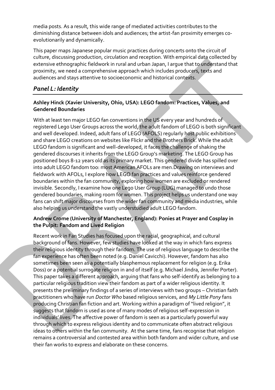media posts. As a result, this wide range of mediated activities contributes to the diminishing distance between idols and audiences; the artist-fan proximity emerges coevolutionarily and dynamically.

This paper maps Japanese popular music practices during concerts onto the circuit of culture, discussing production, circulation and reception. With empirical data collected by extensive ethnographic fieldwork in rural and urban Japan, I argue that to understand that proximity, we need a comprehensive approach which includes producers, texts and audiences and stays attentive to socioeconomic and historical contexts.

### *Panel L: Identity*

### **Ashley Hinck (Xavier University, Ohio, USA): LEGO fandom: Practices, Values, and Gendered Boundaries**

With at least ten major LEGO fan conventions in the US every year and hundreds of registered Lego User Groups across the world, the adult fandom of LEGO is both significant and well developed. Indeed, adult fans of LEGO (AFOLS) regularly host public exhibitions and share LEGO creations on websites like Flickr and the Brothers Brick. While the adult LEGO fandom is significant and well-developed, it faces the challenge of shaking the gendered discourses it inherits from the LEGO Group's marketing. The LEGO Group has positioned boys 8-12 years old as its primary market. This gendered divide has spilled over into adult LEGO fandom too: most American AFOLs are men.Drawing on interviews and fieldwork with AFOLs, I explore how LEGO fan practices and values reinforce gendered boundaries within the fan community, exploring how women are excluded or rendered invisible. Secondly, I examine how one Lego User Group (LUG) managed to undo those gendered boundaries, making room for women. This project helps us understand one way fans can shift major discourses from the wider fan community and media industries, while also helping us understand the vastly understudied adult LEGO fandom.

### **Andrew Crome (University of Manchester, England): Ponies at Prayer and Cosplay in the Pulpit: Fandom and Lived Religion**

Recent work in Fan Studies has focused upon the racial, geographical, and cultural background of fans. However, few studies have looked at the way in which fans express their religious identity through their fandom. The use of religious language to describe the fan experience has often been noted (e.g. Daniel Cavicchi). However, fandom has also sometimes been seen as a potentially blasphemous replacement for religion (e.g. Erika Doss) or a potential surrogate religion in and of itself (e.g. Michael Jindra, Jennifer Porter). This paper takes a different approach, arguing that fans who self-identify as belonging to a particular religious tradition view their fandom as part of a wider religious identity. It presents the preliminary findings of a series of interviews with two groups – Christian faith practitioners who have run *Doctor Who* based religious services, and *My Little Pony* fans producing Christian fan fiction and art. Working within a paradigm of "lived religion", it suggests that fandom is used as one of many modes of religious self-expression in individuals' lives. The affective power of fandom is seen as a particularly powerful way through which to express religious identity and to communicate often abstract religious ideas to others within the fan community. At the same time, fans recognise that religion remains a controversial and contested area within both fandom and wider culture, and use their fan works to express and elaborate on these concerns.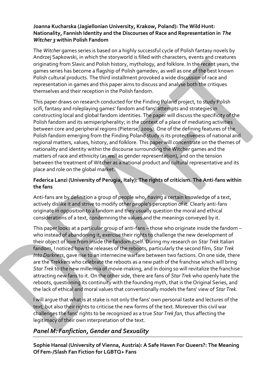#### **Joanna Kucharska (Jagiellonian University, Krakow, Poland): The Wild Hunt: Nationality, Fannish Identity and the Discourses of Race and Representation in** *The Witcher 3* **within Polish Fandom**

The *Witcher* games series is based on a highly successful cycle of Polish fantasy novels by Andrzej Sapkowski, in which the storyworld is filled with characters, events and creatures originating from Slavic and Polish history, mythology, and folklore. In the recent years, the games series has become a flagship of Polish gamedev, as well as one of the best known Polish cultural products. The third installment provoked a wide discussion of race and representation in games and this paper aims to discuss and analyse both the critiques themselves and their reception in the Polish fandom.

This paper draws on research conducted for the Finding Poland project, to study Polish scifi, fantasy and roleplaying games' fandom and fans' attempts and strategies in constructing local and global fandom identities. The paper will discuss the specificity of the Polish fandom and its semiperipherality; in the context of a place of mediating activities between core and peripheral regions (Pieterse, 2009). One of the defining features of the Polish fandom emerging from the Finding Poland study is its protectiveness of national and regional matters, values, history, and folklore. This paper will concentrate on the themes of nationality and identity within the discourse surrounding the Witcher games and the matters of race and ethnicity (as well as gender representation), and on the tension between the treatment of Witcher as a national product and cultural representative and its place and role on the global market.

### **Federica Lanzi (University of Perugia, Italy): The rights of criticism. The Anti-fans within the fans**

Anti-fans are by definition a group of people who, having a certain knowledge of a text, actively dislike it and strive to modify other people's perception of it. Clearly anti-fans originate in opposition to a fandom and they usually question the moral and ethical considerations of a text, condemning the values and the meanings conveyed by it.

This paper looks at a particular group of anti-fans – those who originate inside the fandom – who instead of abandoning it, exercise their rights to challenge the new development of their object of love from inside the fandom itself. During my research on *Star Trek* Italian fandom, I noticed how the releases of the reboots, particularly the second film, *Star Trek Into Darkness*, gave rise to an internecine warfare between two factions. On one side, there are the Trekkers who celebrate the reboots as a new path of the franchise which will bring *Star Trek* to the new millennia of movie-making, and in doing so will revitalize the franchise attracting new fans to it. On the other side, there are fans of *Star Trek* who openly hate the reboots, questioning its continuity with the founding myth, that is the Original Series, and the lack of ethical and moral values that conventionally models the fans' view of *Star Trek.*

I will argue that what is at stake is not only the fans' own personal taste and lectures of the text, but also their rights to criticise the new forms of the text. Moreover this civil war challenges the fans' rights to be recognized as a true *Star Trek fan*, thus affecting the legitimacy of their own interpretation of the text.

### *Panel M: Fanfiction, Gender and Sexuality*

**Sophie Hansal (University of Vienna, Austria): A Safe Haven For Queers?: The Meaning Of Fem-/Slash Fan Fiction for LGBTQ+ Fans**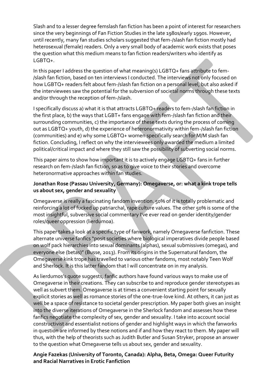Slash and to a lesser degree femslash fan fiction has been a point of interest for researchers since the very beginnings of Fan Fiction Studies in the late 1980s/early 1990s. However, until recently, many fan studies scholars suggested that fem-/slash fan fiction mostly had heterosexual (female) readers. Only a very small body of academic work exists that poses the question what this medium means to fan fiction readers/writers who identify as LGBTQ+.

In this paper I address the question of what meaning(s) LGBTQ+ fans attribute to fem- /slash fan fiction, based on ten interviews I conducted. The interviews not only focused on how LGBTQ+ readers felt about fem-/slash fan fiction on a personal level, but also asked if the interviewees saw the potential for the subversion of societal norms through these texts and/or through the reception of fem-/slash.

I specifically discuss a) what it is that attracts LGBTQ+ readers to fem-/slash fan fiction in the first place, b) the ways that LGBT+ fans engage with fem-/slash fan fiction and their surrounding communities, c) the importance of these texts during the process of coming out as LGBTQ+ youth, d) the experience of heteronormativity within fem-/slash fan fiction (communities) and e) why some LGBTQ+ women specifically search for M/M slash fan fiction. Concluding, I reflect on why the interviewees only awarded the medium a limited political/critical impact and where they still saw the possibility of subverting social norms.

This paper aims to show how important it is to actively engage LGBTQ+ fans in further research on fem-/slash fan fiction, so as to give voice to their stories and overcome heteronormative approaches within fan studies.

### **Jonathan Rose (Passau University, Germany): Omegaverse, or: what a kink trope tells us about sex, gender and sexuality**

Omegaverse is really a fascinating fandom invention. 50% of it is totally problematic and reinforcing a lot of fucked up patriarchal, rape culture values. The other 50% is some of the most insightful, subversive social commentary I've ever read on gender identity/gender roles/queer oppression (lierdumoa).

This paper takes a look at a specific type of fanwork, namely Omegaverse fanfiction. These alternate universe fanfics "posit societies where biological imperatives divide people based on wolf pack hierarchies into sexual dominants (alphas), sexual submissives (omegas), and everyone else (betas)" (Busse, 2013). From its origins in the Supernatural fandom, the Omegaverse kink trope has travelled to various other fandoms, most notably Teen Wolf and Sherlock. It is this latter fandom that I will concentrate on in my analysis.

As lierdumos's quote suggests, fanfic authors have found various ways to make use of Omegaverse in their creations. They can subscribe to and reproduce gender stereotypes as well as subvert them. Omegaverse is at times a convenient starting point for sexually explicit stories as well as romance stories of the one-true-love kind. At others, it can just as well be a space of resistance to societal gender prescription. My paper both gives an insight into the diverse iterations of Omegaverse in the Sherlock fandom and assesses how these fanfics negotiate the complexity of sex, gender and sexuality. I take into account social constructivist and essentialist notions of gender and highlight ways in which the fanworks in question are informed by these notions and if and how they react to them. My paper will thus, with the help of theorists such as Judith Butler and Susan Stryker, propose an answer to the question what Omegaverse tells us about sex, gender and sexuality.

#### **Angie Fazekas (University of Toronto, Canada): Alpha, Beta, Omega: Queer Futurity and Racial Narratives in Erotic Fanfiction**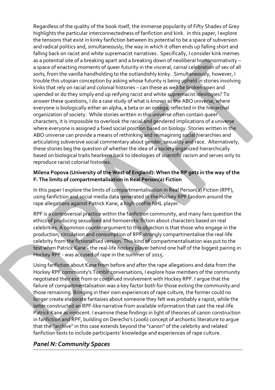Regardless of the quality of the book itself, the immense popularity of Fifty Shades of Grey highlights the particular interconnectedness of fanfiction and kink. In this paper, I explore the tensions that exist in kinky fanfiction between its potential to be a space of subversion and radical politics and, simultaneously, the way in which it often ends up falling short and falling back on racist and white supremacist narratives. Specifically, I consider kink memes as a potential site of a breaking apart and a breaking down of neoliberal homonormativity – a space of enacting moments of queer futurity in the visceral, carnal celebration of sex of all sorts, from the vanilla handholding to the outlandishly kinky. Simultaneously, however, I trouble this utopian conception by asking whose futurity is being upheld in stories involving kinks that rely on racial and colonial histories – can these as well be broken open and upended or do they simply end up reifying racist and white supremacist ideologies? To answer these questions, I do a case study of what is known as the ABO universe, where everyone is biologically either an alpha, a beta or an omega, reflected in the hierarchal organization of society. While stories written in this universe often contain queer characters, it is impossible to overlook the racial and gendered implications of a universe where everyone is assigned a fixed social position based on biology. Stories written in the ABO universe can provide a means of rethinking and reimagining social hierarchies and articulating subversive social commentary about gender, sexuality and race. Alternatively, these stories beg the question of whether the idea of a society organized hierarchically based on biological traits hearkens back to ideologies of scientific racism and serves only to reproduce racist colonial histories.

### **Milena Popova (University of the West of England): When the RP gets in the way of the F: The limits of compartmentalisation in Real Person(a) Fiction**

In this paper I explore the limits of compartmentalisation in Real Person(a) Fiction (RPF), using fanfiction and social media data generated in the Hockey RPF fandom around the rape allegations against Patrick Kane, a high-profile NHL player.

RPF is a controversial practice within the fanfiction community, and many fans question the ethics of producing sexualised and homoerotic fiction about characters based on real celebrities. A common counterargument to this objection is that those who engage in the production, circulation and consumption of RPF strongly compartmentalise the real-life celebrity from the fictionalised version. This kind of compartmentalisation was put to the test when Patrick Kane - the real-life hockey player behind one half of the biggest pairing in Hockey RPF - was accused of rape in the summer of 2015.

Using fanfiction about Kane from before and after the rape allegations and data from the Hockey RPF community's Tumblr conversations, I explore how members of the community negotiated their exit from or continued involvement with Hockey RPF. I argue that the failure of compartmentalisation was a key factor both for those exiting the community and those remaining. Bringing in their own experiences of rape culture, the former could no longer create elaborate fantasies about someone they felt was probably a rapist, while the latter constructed an RPF-like narrative from available information that cast the real-life Patrick Kane as innocent. I examine these findings in light of theories of canon construction in fanfiction and RPF, building on Derecho's (2006) concept of archontic literature to argue that the "archive" in this case extends beyond the "canon" of the celebrity and related fanfiction texts to include participants' knowledge and experiences of rape culture.

### *Panel N: Community Spaces*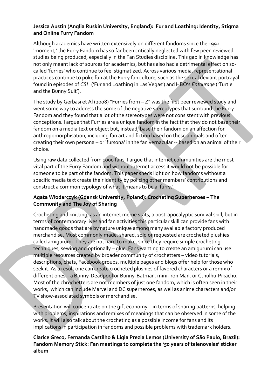### **Jessica Austin (Anglia Ruskin University, England): Fur and Loathing: Identity, Stigma and Online Furry Fandom**

Although academics have written extensively on different fandoms since the 1992 'moment,' the Furry Fandom has so far been critically neglected with few peer-reviewed studies being produced, especially in the Fan Studies discipline. This gap in knowledge has not only meant lack of sources for academics, but has also had a detrimental effect on socalled 'furries' who continue to feel stigmatized. Across various media, representational practices continue to poke fun at the Furry fan culture, such as the sexual deviant portrayal found in episodes of *CSI* ('Fur and Loathing in Las Vegas') and HBO's *Entourage* ('Turtle and the Bunny Suit').

The study by Gerbasi et Al (2008) "Furries from – Z" was the first peer reviewed study and went some way to address the some of the negative stereotypes that surround the Furry Fandom and they found that a lot of the stereotypes were not consistent with previous conceptions. I argue that Furries are a unique fandom in the fact that they do not base their fandom on a media text or object but, instead, base their fandom on an affection for anthropomorphisation, including fan art and fiction based on these animals and often creating their own persona – or 'fursona' in the fan vernacular -- based on an animal of their choice.

Using raw data collected from 1000 fans, I argue that internet communities are the most vital part of the Furry Fandom and without internet access it would not be possible for someone to be part of the fandom. This paper sheds light on how fandoms without a specific media text create their identity by policing other members' contributions and construct a common typology of what it means to be a 'furry.'

### **Agata Włodarczyk (Gdansk University, Poland): Crocheting Superheroes – The Community and The Joy of Sharing**

Crocheting and knitting, as an internet meme stats, a post-apocalyptic survival skill, but in terms of contemporary lives and fan activities this particular skill can provide fans with handmade goods that are by nature unique among many available factory produced merchandise. Most commonly made, shared, sold or requested are crocheted plushies called amigurumi. They are not hard to make, since they require simple crocheting techniques, sewing and optionally – glue. Fans wanting to create an amigurumi can use multiple resources created by broader community of crochetters – video tutorials, descriptions, chats, Facebook groups, multiple pages and blogs offer help for those who seek it. As a result one can create crocheted plushies of favored characters or a remix of different ones – a Bunny-Deadpool or Bunny-Batman, mini-Iron Man, or Cthulhu-Pikachu. Most of the chrochetters are not members of just one fandom, which is often seen in their works, which can include Marvel and DC superheroes, as well as anime characters and/or TV show-associated symbols or merchandise.

Presentation will concentrate on the gift economy – in terms of sharing patterns, helping with problems, inspirations and remixes of meanings that can be observed in some of the works. It will also talk about the crocheting as a possible income for fans and its implications in participation in fandoms and possible problems with trademark holders.

### **Clarice Greco, Fernanda Castilho & Ligia Prezia Lemos (University of São Paulo, Brazil): Fandom Memory Stick: Fan meetings to complete the '50 years of telenovelas' sticker album**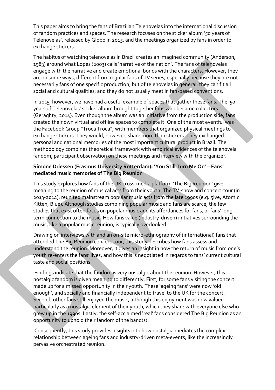This paper aims to bring the fans of Brazilian Telenovelas into the international discussion of fandom practices and spaces. The research focuses on the sticker album '50 years of Telenovelas', released by Globo in 2015, and the meetings organized by fans in order to exchange stickers.

The habitus of watching telenovelas in Brazil creates an imagined community (Anderson, 1983) around what Lopes (2003) calls 'narrative of the nation'. The fans of telenovelas engage with the narrative and create emotional bonds with the characters. However, they are, in some ways, different from regular fans of TV series, especially because they are not necessarily fans of one specific production, but of telenovelas in general; they can fit all social and cultural qualities; and they do not usually meet in fan-based conventions.

In 2015, however, we have had a useful example of spaces that gather these fans. The '50 years of Telenovelas' sticker album brought together fans who became collectors (Geraghty, 2014). Even though the album was an initiative from the production side, fans created their own virtual and offline spaces to complete it. One of the most eventful was the Facebook Group "Troca Troca", with members that organized physical meetings to exchange stickers. They would, however, share more than stickers. They exchanged personal and national memories of the most important cultural product in Brazil. The methodology combines theoretical framework with empirical evidences of the telenovela fandom, participant observation on these meetings and interview with the organizer.

#### **Simone Driessen (Erasmus University Rotterdam): 'You Still Turn Me On' – Fans' mediated music memories of The Big Reunion**

This study explores how fans of the UK cross-media platform 'The Big Reunion' give meaning to the reunion of musical acts from their youth. The TV-show and concert-tour (in 2013-2014), reunited mainstream popular music acts from the late 1990s (e.g. 5ive, Atomic Kitten, Blue). Although studies combining popular music and fans are scarce, the few studies that exist often focus on popular music and its affordances for fans, or fans' longterm connection to the music. How fans value (industry-driven) initiatives surrounding the music, like a popular music reunion, is typically overlooked.

Drawing on interviews with and an on-site micro-ethnography of (international) fans that attended The Big Reunion concert-tour, this study describes how fans assess and understand the reunion. Moreover, it gives an insight in how the return of music from one's youth re-enters the fans' lives, and how this is negotiated in regards to fans' current cultural taste and social positions.

Findings indicate that the fandom is very nostalgic about the reunion. However, this nostalgic fandom is given meaning to differently. First, for some fans visiting the concert made up for a missed opportunity in their youth. These 'ageing fans' were now 'old enough', and socially and financially independent to travel to the UK for the concert. Second, other fans still enjoyed the music, although this enjoyment was now valued particularly as a nostalgic element of their youth, which they share with everyone else who grew up in the 1990s. Lastly, the self-acclaimed 'real' fans considered The Big Reunion as an opportunity to uphold their fandom of the band(s).

Consequently, this study provides insights into how nostalgia mediates the complex relationship between ageing fans and industry-driven meta-events, like the increasingly pervasive orchestrated reunion.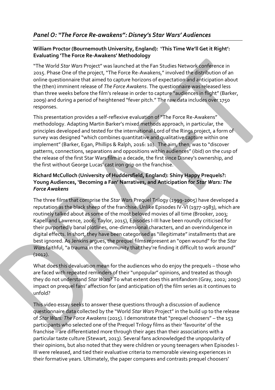### *Panel O: "The Force Re-awakens": Disney's Star Wars' Audiences*

### **William Proctor (Bournemouth University, England): 'This Time We'll Get it Right': Evaluating 'The Force Re-Awakens' Methodology**

"The World *Star Wars* Project" was launched at the Fan Studies Network conference in 2015. Phase One of the project, "The Force Re-Awakens," involved the distribution of an online questionnaire that aimed to capture horizons of expectation and anticipation about the (then) imminent release of *The Force Awakens*. The questionnaire was released less than three weeks before the film's release in order to capture "audiences in flight" (Barker, 2009) and during a period of heightened "fever pitch." The raw data includes over 1750 responses.

This presentation provides a self-reflexive evaluation of "The Force Re-Awakens" methodology. Adapting Martin Barker's mixed methods approach, in particular, the principles developed and tested for the international Lord of the Rings project, a form of survey was designed "which combines quantitative and qualitative capture within one implement" (Barker, Egan, Phillips & Ralph, 2016: 10). The aim, then, was to "discover patterns, connections, separations and oppositions within audiences" (ibid) on the cusp of the release of the first Star Wars film in a decade, the first since Disney's ownership, and the first without George Lucas' cast iron grip on the franchise.

### **Richard McCulloch (University of Huddersfield, England): Shiny Happy Prequels?: Young Audiences, 'Becoming a Fan' Narratives, and Anticipation for** *Star Wars: The Force Awakens*

The three films that comprise the *Star Wars* Prequel Trilogy (1999-2005) have developed a reputation as the black sheep of the franchise. Unlike Episodes IV-VI (1977-1983), which are routinely talked about as some of the most beloved movies of all time (Brooker, 2003; Kapell and Lawrence, 2006; Taylor, 2015), Episodes I-III have been roundly criticised for their purportedly banal plotlines, one-dimensional characters, and an overindulgence in digital effects. In short, they have been categorised as "illegitimate" installments that are best ignored. As Jenkins argues, the prequel films represent an "open wound" for the *Star Wars* faithful, "a trauma in the community that they're finding it difficult to work around" (2012).

What does this devaluation mean for the audiences who do enjoy the prequels – those who are faced with repeated reminders of their "unpopular" opinions, and treated as though they do not understand *Star Wars*? To what extent does this antifandom (Gray, 2002; 2005) impact on prequel fans' affection for (and anticipation of) the film series as it continues to unfold?

This video essay seeks to answer these questions through a discussion of audience questionnaire data collected by the "World *Star Wars* Project" in the build up to the release of *Star Wars: The Force Awakens* (2015). I demonstrate that "prequel choosers" – the 153 participants who selected one of the Prequel Trilogy films as their 'favourite' of the franchise – are differentiated more through their ages than their associations with a particular taste culture (Stewart, 2013). Several fans acknowledged the unpopularity of their opinions, but also noted that they were children or young teenagers when Episodes I-III were released, and tied their evaluative criteria to memorable viewing experiences in their formative years. Ultimately, the paper compares and contrasts prequel choosers'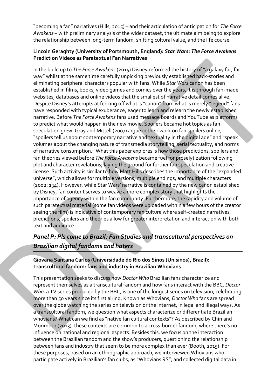"becoming a fan" narratives (Hills, 2015) – and their articulation of anticipation for *The Force Awakens* – with preliminary analysis of the wider dataset, the ultimate aim being to explore the relationship between long-term fandom, shifting cultural value, and the life course.

### **Lincoln Geraghty (University of Portsmouth, England):** *Star Wars: The Force Awakens* **Prediction Videos as Paratextual Fan Narratives**

In the build up to *The Force Awakens* (2015) Disney reformed the history of "a galaxy far, far way" whilst at the same time carefully unpicking previously established back-stories and eliminating peripheral characters popular with fans. While *Star Wars* canon has been established in films, books, video games and comics over the years, it is through fan-made websites, databases and online videos that the smallest of narrative detail comes alive. Despite Disney's attempts at fencing off what is "canon" from what is merely "legend" fans have responded with typical exuberance, eager to learn and relearn the newly established narrative. Before *The Force Awakens* fans used message boards and YouTube as platforms to predict what would happen in the new movie. Spoilers became hot topics as fan speculation grew. Gray and Mittell (2007) argue in their work on fan spoilers online, "spoilers tell us about contemporary narrative and textuality in the digital age" and "speak volumes about the changing nature of transmedia storytelling, serial textuality, and norms of narrative consumption." What this paper explores is how those predictions, spoilers and fan theories viewed before *The Force Awakens* became fuel for proselytization following plot and character revelations; laying the ground for further fan speculation and creative license. Such activity is similar to how Matt Hills describes the importance of the "expanded universe", which allows for multiple versions, multiple endings, and multiple characters (2002: 134). However, while Star Wars' narrative is contained by the new canon established by Disney, fan content serves to weave a more complex story that highlights the importance of agency within the fan community. Furthermore, the rapidity and volume of such paratextual material (some fan videos were uploaded within a few hours of the creator seeing the film) is indicative of contemporary fan culture where self-created narratives, predictions, spoilers and theories allow for greater interpretation and interaction with both text and audience.

### *Panel P: Pls come to Brazil: Fan Studies and transcultural perspectives on Brazilian digital fandoms and haters*

**Giovana Santana Carlos (Universidade do Rio dos Sinos (Unisinos), Brazil): Transcultural fandom: fans and industry in Brazilian Whovians**

This presentation seeks to discuss how *Doctor Who* Brazilian fans characterize and represent themselves as a transcultural fandom and how fans interact with the BBC. *Doctor Who*, a TV series produced by the BBC, is one of the longest series on television, celebrating more than 50 years since its first airing. Known as Whovians, *Doctor Who* fans are spread over the globe watching the series on television or the internet, in legal and illegal ways. As a transcultural fandom, we question what aspects characterize or differentiate Brazilian whovians? What can we find as "native fan cultural contexts"? As described by Chin and Morimoto (2013), these contexts are common to a cross-border fandom, where there's no influence on national and regional aspects. Besides this, we focus on the interaction between the Brazilian fandom and the show's producers, questioning the relationship between fans and industry that seem to be more complex than ever (Booth, 2015). For these purposes, based on an ethnographic approach, we interviewed Whovians who participate actively in Brazilian's fan clubs, as "Whovians RS", and collected digital data in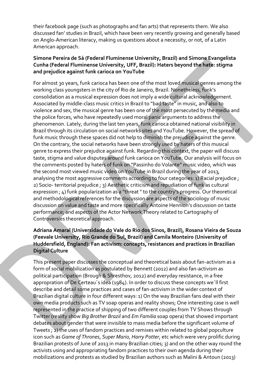their facebook page (such as photographs and fan arts) that represents them. We also discussed fan' studies in Brazil, which have been very recently growing and generally based on Anglo-American literacy, making us questions about a necessity, or not, of a Latin American approach.

### **Simone Pereira de Sá (Federal Fluminense University, Brazil) and Simone Evangelista Cunha (Federal Fluminense University, UFF, Brazil): Haters beyond the hate: stigma and prejudice against funk carioca on YouTube**

For almost 30 years, funk carioca has been one of the most loved musical genres among the working class youngsters in the city of Rio de Janeiro, Brazil. Nonetheless, funk's consolidation as a musical expression does not imply a wide cultural acknowledgement. Associated by middle-class music critics in Brazil to "bad taste" in music, and also to violence and sex, the musical genre has been one of the most persecuted by the media and the police forces, who have repeatedly used moral panic arguments to address the phenomenon. Lately, during the last ten years, funk carioca obtained national visibility in Brazil through its circulation on social networks sites and YouTube. However, the spread of funk music through these spaces did not help to diminish the prejudice against the genre. On the contrary, the social networks have been strongly used by haters of this musical genre to express their prejudice against funk. Regarding this context, the paper will discuss taste, stigma and value disputes around funk carioca on YouTube. Our analysis will focus on the comments posted by haters of funk on "Passinho do Volante" music video, which was the second most viewed music video on YouTube in Brazil during the year of 2013, analysing the most aggressive comments according to four categories: 1) Racial prejudice ; 2) Socio- territorial prejudice ; 3) Aesthetic criticism and repudiation of funk as cultural expression ; 4) funk popularization as a "threat " to the country's progress. Our theoretical and methodological references for the discussion are aspects of the sociology of music discussion on value and taste and more specifically Antoine Hennion's discussion on taste performance; and aspects of the Actor Network Theory related to Cartography of Controversies theoretical approach.

#### **Adriana Amaral (Universidade do Vale do Rio dos Sinos, Brazil), Rosana Vieira de Souza (Feevale University, Rio Grande do Sul, Brazil) and Camila Monteiro (University of Huddersfield, England): Fan activism: concepts, resistances and practices in Brazilian Digital Culture**

This present paper discusses the conceptual and theoretical basis about fan-activism as a form of social mobilization as postulated by Bennett (2012) and also fan-activism as political participation (Brough & Shresthov, 2012) and everyday resistance, in a free appropration of De Certeau´s idea (1984). In order to discuss these concepts we´ll first describe and detail some practices and cases of fan-activism in the wider context of Brazilian digital culture in four different ways: 1) On the way Brazilian fans deal with their own media products such as TV soap operas and reality shows; One interesting case is well represented in the practice of shipping of two different couples from TV Shows through Twitter (reality show *Big Brother Brazil* and *Em Familia* soap opera) that showed important debates about gender that were invisible to mass media before the significant volume of Tweets ; 2) the uses of fandom practices and remixes within related to global popculture icon such as *Game of Thrones*, *Super Mario*, *Harry Potter*, etc which were very prolific during Brazilian protests of June of 2013 in many Brazilian cities; 3) and on the other way round the activists using and appropriating fandom practices to their own agenda during their mobilizations and protests as studied by Brazilian authors such as Malini & Antoun (2013)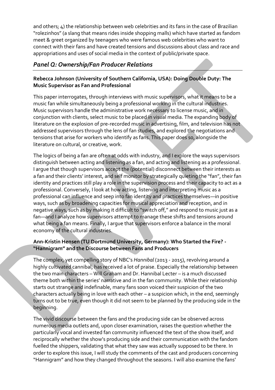and others; 4) the relationship between web celebrities and its fans in the case of Brazilian "rolezinhos" (a slang that means rides inside shopping malls) which have started as fandom meet & greet organized by teenagers who were famous web celebrities who want to connect with their fans and have created tensions and discussions about class and race and appropriations and uses of social media in the context of public/private space.

### *Panel Q: Ownership/Fan Producer Relations*

### **Rebecca Johnson (University of Southern California, USA): Doing Double Duty: The Music Supervisor as Fan and Professional**

This paper interrogates, through interviews with music supervisors, what it means to be a music fan while simultaneously being a professional working in the cultural industries. Music supervisors handle the administrative work necessary to license music, and in conjunction with clients, select music to be placed in visual media. The expanding body of literature on the explosion of pre-recorded music in advertising, film, and television has not addressed supervisors through the lens of fan studies, and explored the negotiations and tensions that arise for workers who identify as fans. This paper does so, alongside the literature on cultural, or creative, work.

The logics of being a fan are often at odds with industry, and I explore the ways supervisors distinguish between acting and listening as a fan, and acting and listening as a professional. I argue that though supervisors accept the (potential) disconnect between their interests as a fan and their clients' interest, and self monitor by strategically quieting the "fan", their fan identity and practices still play a role in the supervision process and their capacity to act as a professional. Conversely, I look at how acting, listening and interpreting music as a professional can influence and seep into fan identity and practices themselves—in positive ways, such as by broadening capacities for musical appreciation and reception, and in negative ways, such as by making it difficult to "switch off," and respond to music just as a fan—and I analyze how supervisors attempt to manage these shifts and tensions around what being a fan means. Finally, I argue that supervisors enforce a balance in the moral economy of the cultural industries.

### **Ann-Kristin Hensen (TU Dortmund University, Germany): Who Started the Fire? - "Hannigram" and the Discourse between Fans and Producers**

The complex, yet compelling story of NBC's *Hannibal* (2013 - 2015), revolving around a highly cultivated cannibal, has received a lot of praise. Especially the relationship between the two main characters – Will Graham and Dr. Hannibal Lecter – is a much discussed theme both within the series' narrative and in the fan community. While their relationship starts out strange and indefinable, many fans soon voiced their suspicion of the two characters actually being in love with each other – a suspicion which, in the end, seemingly turns out to be true, even though it did not seem to be planned by the producing side in the beginning.

The vivid discourse between the fans and the producing side can be observed across numerous media outlets and, upon closer examination, raises the question whether the particularly vocal and invested fan community influenced the text of the show itself, and reciprocally whether the show's producing side and their communication with the fandom fuelled the shippers, validating that what they saw was actually supposed to be there. In order to explore this issue, I will study the comments of the cast and producers concerning "Hannigram" and how they changed throughout the seasons. I will also examine the fans'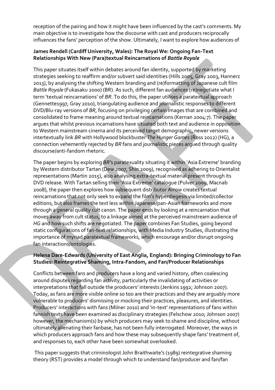reception of the pairing and how it might have been influenced by the cast's comments. My main objective is to investigate how the discourse with cast and producers reciprocally influences the fans' perception of the show. Ultimately, I want to explore how audiences of

### **James Rendell (Cardiff University, Wales): The Royal We: Ongoing Fan-Text Relationships With New (Para)textual Reincarnations of** *Battle Royale*

This paper situates itself within debates around fan identity, supported by marketing strategies seeking to reaffirm and/or subvert said identities (Hills 2005, Gray 2003, Hannerz 2013), by analysing the shifting Western branding and (re)formatting of Japanese cult film *Battle Royale* (Fukasaku 2000) (BR). As such, different fan audiences (re)negotiate what I term 'textual reincarnations' of *BR*. To do this, the paper utilises a paratextual approach (Gennette1997, Gray 2010), triangulating audience and journalistic responses to different DVD/Blu-ray versions of *BR*, focusing on privileging certain images that are combined and consolidated to frame meaning around textual reincarnations (Kernan 2004:7). The paper argues that whilst previous incarnations have situated both text and audience in opposition to Western mainstream cinema and its perceived target demographic, newer versions intertextually link *BR* with Hollywood blockbuster *The Hunger Games* (Ross 2012) (HG), a connection vehemently rejected by *BR* fans and journalistic pieces argued through quality discourse/anti-fandom rhetoric.

The paper begins by exploring *BR'*s paratexuality situating it within 'Asia Extreme' branding by Western distributor Tartan (Dew 2007, Shin 2009), recognised as adhering to Orientalist representations (Martin 2015), also analysing extra-textual material present through its DVD release. With Tartan selling their 'Asia Extreme' catalogue (Pulver 2009, Macnab 2008), the paper then explores how subsequent distributor Arrow creates textual reincarnations that not only seek to expand the film's hyperdiegesis via limited/collector editions, but also frames the text less within Japanese/pan-Asian frameworks and more through a general quality cult canon. The paper ends by looking at a reincarnation that moves away from cult status, to a linkage aimed at the perceived mainstream audience of *HG* and how such shifts are negotiated. The paper combines Fan Studies, going beyond static configurations of fan-text relationships, with Media Industry Studies, illustrating the importance of myriad paratextual frameworks, which encourage and/or disrupt ongoing fan interactions/ontologies.

### **Helena Dare-Edwards (University of East Anglia, England): Bringing Criminology to Fan Studies: Reintegrative Shaming, Intra-Fandom, and Fan/Producer Relationships**

Conflicts between fans and producers have a long and varied history, often coalescing around disputes regarding fan activity, particularly the invalidating of activities or interpretations that fall outside the producers' interests (Jenkins 1992; Johnson 2007). Today, as fans are more visible online so too are their practices and they are arguably more vulnerable to producers' dismissing or mocking their practices, pleasures, and identities. Producers' interactions with fans (Milner 2010) and 'in-text' representations of fans within fannish texts have been examined as disciplinary strategies (Felschow 2010; Johnson 2007) however, the mechanism(s) by which producers may seek to shame and discipline, without ultimately alienating their fanbase, has not been fully interrogated. Moreover, the ways in which producers approach fans and how these may subsequently shape fans' treatment of, and responses to, each other have been somewhat overlooked.

This paper suggests that criminologist John Braithwaite's (1989) reintegrative shaming theory (RST) provides a model through which to understand fan/producer and fan/fan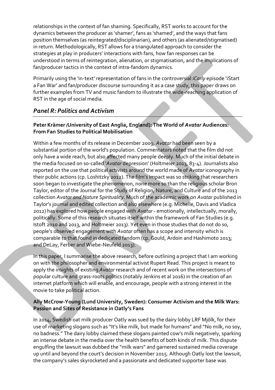relationships in the context of fan shaming. Specifically, RST works to account for the dynamics between the producer as 'shamer', fans as 'shamed', and the ways that fans position themselves (as reintegrated/disciplinarian), and others (as alienated/stigmatised) in return. Methodologically, RST allows for a triangulated approach to consider the strategies at play in producers' interactions with fans, how fan responses can be understood in terms of reintegration, alienation, or stigmatisation, and the implications of fan/producer tactics in the context of intra-fandom dynamics.

Primarily using the 'in-text' representation of fans in the controversial *iCarly* episode 'iStart a Fan War' and fan/producer discourse surrounding it as a case study, this paper draws on further examples from TV and music fandom to illustrate the wide-reaching application of RST in the age of social media.

### *Panel R: Politics and Activism*

### **Peter Krämer***(***University of East Anglia, England): The World of** *Avatar* **Audiences: From Fan Studies to Political Mobilisation**

Within a few months of its release in December 2009, *Avatar* had been seen by a substantial portion of the world's population. Commentators noted that the film did not only have a wide reach, but also affected many people deeply. Much of the initial debate in the media focused on so-called '*Avatar* depression' (Holtmeier 2013, 83-4). Journalists also reported on the use that political activists around the world made of *Avatar* iconography in their public actions (cp. Loshitzky 2012). The film's impact was so striking that researchers soon began to investigate the phenomenon, none more so than the religious scholar Bron Taylor, editor of the Journal for the Study of Religion, Nature, and Culture and of the 2013 collection *Avatar and Nature Spirituality*. Much of the academic work on *Avatar* published in Taylor's journal and edited collection and also elsewhere (e.g. Michelle, Davis and Vladica 2012) has explored how people engaged with *Avatar* - emotionally, intellectually, morally, politically. Some of this research situates itself within the framework of Fan Studies (e.g. Istoft 2010 and 2013, and Holtmeier 2013). Yet even in those studies that do not do so, people's observed engagement with *Avatar* often has a scope and intensity which is comparable to that found in dedicated fandom (cp. Gould, Ardoin and Hashimoto 2013; and DeLay, Ferber and Wiebe-Neufeld 2013).

In this paper, I summarise the above research, before outlining a project that I am working on with the philosopher and environmental activist Rupert Read. This project is meant to apply the insights of existing *Avatar* research and of recent work on the intersections of popular culture and grass-roots politics (notably Jenkins et al 2016) in the creation of an internet platform which will enable, and encourage, people with a strong interest in the movie to take political action.

### **Ally McCrow-Young (Lund University, Sweden): Consumer Activism and the Milk Wars: Passion and Sites of Resistance in Oatly's Fans**

In 2014, Swedish oat milk producer Oatly was sued by the dairy lobby LRF Mjölk, for their use of marketing slogans such as "It's like milk, but made for humans" and "No milk, no soy, no badness." The dairy lobby claimed these slogans painted cow's milk negatively, sparking an intense debate in the media over the health benefits of both kinds of milk. This dispute engulfing the lawsuit was dubbed the "milk wars" and garnered sustained media coverage up until and beyond the court's decision in November 2015. Although Oatly lost the lawsuit, the company's sales skyrocketed and a passionate and dedicated supporter base was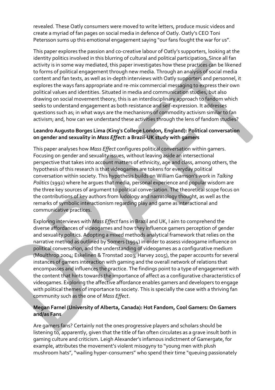revealed. These Oatly consumers were moved to write letters, produce music videos and create a myriad of fan pages on social media in defence of Oatly. Oatly's CEO Toni Petersson sums up this emotional engagement saying "our fans fought the war for us".

This paper explores the passion and co-creative labour of Oatly's supporters, looking at the identity politics involved in this blurring of cultural and political participation. Since all fan activity is in some way mediated, this paper investigates how these practices can be likened to forms of political engagement through new media. Through an analysis of social media content and fan texts, as well as in-depth interviews with Oatly supporters and personnel, it explores the ways fans appropriate and re-mix commercial messaging to express their own political values and identities. Situated in media and communication studies, but also drawing on social movement theory, this is an interdisciplinary approach to fandom which seeks to understand engagement as both resistance and self-expression. It addresses questions such as; in what ways are the mechanisms of commodity activism similar to fan activism; and, how can we understand these activities through the lens of fandom studies?

#### **Leandro Augusto Borges Lima (King's College London, England): Political conversation on gender and sexuality in** *Mass Effect***: a Brazil-UK study with gamers**

This paper analyses how *Mass Effect* configures political conversation within gamers. Focusing on gender and sexuality issues, without leaving aside an intersectional perspective that takes into account matters of ethnicity, age and class, among others, the hypothesis of this research is that videogames are tokens for everyday political conversation within society. This hypothesis builds on William Gamson's work in *Talking Politics* (1992) where he argues that media, personal experience and popular wisdom are the three key sources of argument to political conversation. The theoretical scope focus on the contributions of key authors from ludology and narratology thought, as well as the remarks of symbolic interactionism regarding play and game as interactional and communicative practices.

Exploring interviews with *Mass Effect* fans in Brazil and UK, I aim to comprehend the diverse affordances of videogames and how they influence gamers perception of gender and sexuality politics. Adopting a mixed methods analytical framework that relies on the narrative method as outlined by Somers (1994) in order to assess videogame influence on political conversation, and the understanding of videogames as a configurative medium (Moulthrop 2004; Eskelinen & Tronstad 2003; Harvey 2015), the paper accounts for several instances of gamers interaction with gaming and the overall network of relations that encompasses and influences the practice. The findings point to a type of engagement with the content that hints towards the importance of affect as a configurative characteristics of videogames. Exploring the affective affordance enables gamers and developers to engage with political themes of importance to society. This is specially the case with a thriving fan community such as the one of *Mass Effect*.

#### **Megan Farnel (University of Alberta, Canada): Hot Fandom, Cool Gamers: On Gamers and/as Fans**

Are gamers fans? Certainly not the ones progressive players and scholars should be listening to, apparently, given that the title of fan often circulates as a grave insult both in gaming culture and criticism. Leigh Alexander's infamous indictment of Gamergate, for example, attributes the movement's violent misogyny to "young men with plush mushroom hats", "wailing hyper-consumers" who spend their time "queuing passionately